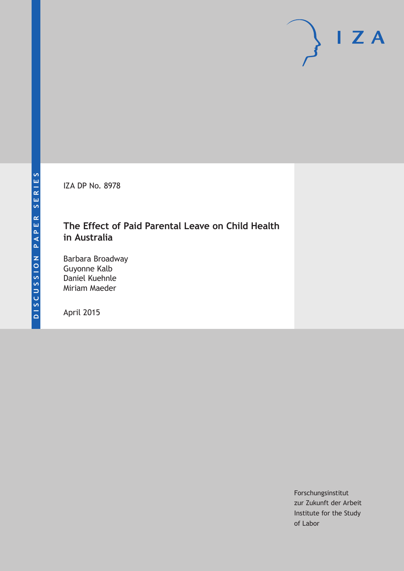IZA DP No. 8978

# **The Effect of Paid Parental Leave on Child Health in Australia**

Barbara Broadway Guyonne Kalb Daniel Kuehnle Miriam Maeder

April 2015

Forschungsinstitut zur Zukunft der Arbeit Institute for the Study of Labor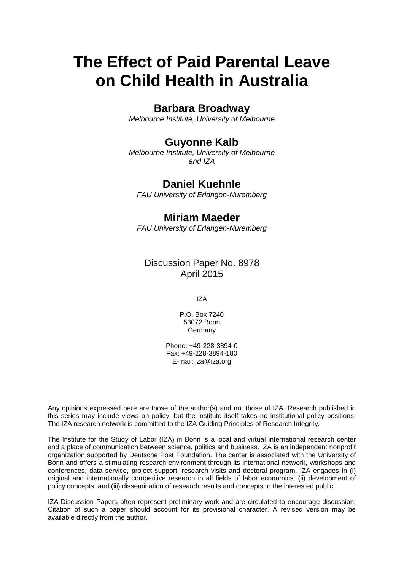# **The Effect of Paid Parental Leave on Child Health in Australia**

### **Barbara Broadway**

*Melbourne Institute, University of Melbourne*

### **Guyonne Kalb**

*Melbourne Institute, University of Melbourne and IZA*

## **Daniel Kuehnle**

*FAU University of Erlangen-Nuremberg*

### **Miriam Maeder**

*FAU University of Erlangen-Nuremberg*

Discussion Paper No. 8978 April 2015

IZA

P.O. Box 7240 53072 Bonn **Germany** 

Phone: +49-228-3894-0 Fax: +49-228-3894-180 E-mail: iza@iza.org

Any opinions expressed here are those of the author(s) and not those of IZA. Research published in this series may include views on policy, but the institute itself takes no institutional policy positions. The IZA research network is committed to the IZA Guiding Principles of Research Integrity.

The Institute for the Study of Labor (IZA) in Bonn is a local and virtual international research center and a place of communication between science, politics and business. IZA is an independent nonprofit organization supported by Deutsche Post Foundation. The center is associated with the University of Bonn and offers a stimulating research environment through its international network, workshops and conferences, data service, project support, research visits and doctoral program. IZA engages in (i) original and internationally competitive research in all fields of labor economics, (ii) development of policy concepts, and (iii) dissemination of research results and concepts to the interested public.

<span id="page-1-0"></span>IZA Discussion Papers often represent preliminary work and are circulated to encourage discussion. Citation of such a paper should account for its provisional character. A revised version may be available directly from the author.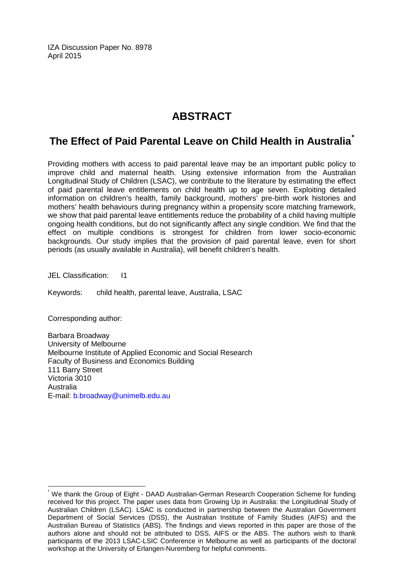IZA Discussion Paper No. 8978 April 2015

# **ABSTRACT**

# **The Effect of Paid Parental Leave on Child Health in Australia[\\*](#page-1-0)**

Providing mothers with access to paid parental leave may be an important public policy to improve child and maternal health. Using extensive information from the Australian Longitudinal Study of Children (LSAC), we contribute to the literature by estimating the effect of paid parental leave entitlements on child health up to age seven. Exploiting detailed information on children's health, family background, mothers' pre-birth work histories and mothers' health behaviours during pregnancy within a propensity score matching framework, we show that paid parental leave entitlements reduce the probability of a child having multiple ongoing health conditions, but do not significantly affect any single condition. We find that the effect on multiple conditions is strongest for children from lower socio-economic backgrounds. Our study implies that the provision of paid parental leave, even for short periods (as usually available in Australia), will benefit children's health.

JEL Classification: I1

Keywords: child health, parental leave, Australia, LSAC

Corresponding author:

Barbara Broadway University of Melbourne Melbourne Institute of Applied Economic and Social Research Faculty of Business and Economics Building 111 Barry Street Victoria 3010 Australia E-mail: [b.broadway@unimelb.edu.au](mailto:b.broadway@unimelb.edu.au)

We thank the Group of Eight - DAAD Australian-German Research Cooperation Scheme for funding received for this project. The paper uses data from Growing Up in Australia: the Longitudinal Study of Australian Children (LSAC). LSAC is conducted in partnership between the Australian Government Department of Social Services (DSS), the Australian Institute of Family Studies (AIFS) and the Australian Bureau of Statistics (ABS). The findings and views reported in this paper are those of the authors alone and should not be attributed to DSS, AIFS or the ABS. The authors wish to thank participants of the 2013 LSAC-LSIC Conference in Melbourne as well as participants of the doctoral workshop at the University of Erlangen-Nuremberg for helpful comments.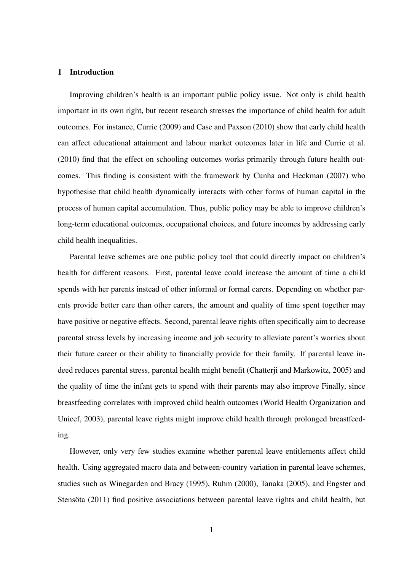#### 1 Introduction

Improving children's health is an important public policy issue. Not only is child health important in its own right, but recent research stresses the importance of child health for adult outcomes. For instance, Currie (2009) and Case and Paxson (2010) show that early child health can affect educational attainment and labour market outcomes later in life and Currie et al. (2010) find that the effect on schooling outcomes works primarily through future health outcomes. This finding is consistent with the framework by Cunha and Heckman (2007) who hypothesise that child health dynamically interacts with other forms of human capital in the process of human capital accumulation. Thus, public policy may be able to improve children's long-term educational outcomes, occupational choices, and future incomes by addressing early child health inequalities.

Parental leave schemes are one public policy tool that could directly impact on children's health for different reasons. First, parental leave could increase the amount of time a child spends with her parents instead of other informal or formal carers. Depending on whether parents provide better care than other carers, the amount and quality of time spent together may have positive or negative effects. Second, parental leave rights often specifically aim to decrease parental stress levels by increasing income and job security to alleviate parent's worries about their future career or their ability to financially provide for their family. If parental leave indeed reduces parental stress, parental health might benefit (Chatterji and Markowitz, 2005) and the quality of time the infant gets to spend with their parents may also improve Finally, since breastfeeding correlates with improved child health outcomes (World Health Organization and Unicef, 2003), parental leave rights might improve child health through prolonged breastfeeding.

However, only very few studies examine whether parental leave entitlements affect child health. Using aggregated macro data and between-country variation in parental leave schemes, studies such as Winegarden and Bracy (1995), Ruhm (2000), Tanaka (2005), and Engster and Stensöta (2011) find positive associations between parental leave rights and child health, but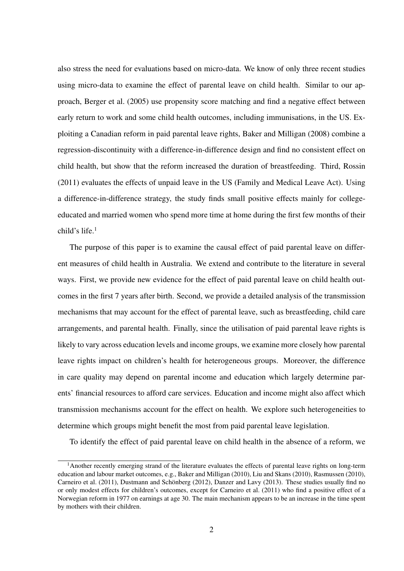also stress the need for evaluations based on micro-data. We know of only three recent studies using micro-data to examine the effect of parental leave on child health. Similar to our approach, Berger et al. (2005) use propensity score matching and find a negative effect between early return to work and some child health outcomes, including immunisations, in the US. Exploiting a Canadian reform in paid parental leave rights, Baker and Milligan (2008) combine a regression-discontinuity with a difference-in-difference design and find no consistent effect on child health, but show that the reform increased the duration of breastfeeding. Third, Rossin (2011) evaluates the effects of unpaid leave in the US (Family and Medical Leave Act). Using a difference-in-difference strategy, the study finds small positive effects mainly for collegeeducated and married women who spend more time at home during the first few months of their child's life.<sup>1</sup>

The purpose of this paper is to examine the causal effect of paid parental leave on different measures of child health in Australia. We extend and contribute to the literature in several ways. First, we provide new evidence for the effect of paid parental leave on child health outcomes in the first 7 years after birth. Second, we provide a detailed analysis of the transmission mechanisms that may account for the effect of parental leave, such as breastfeeding, child care arrangements, and parental health. Finally, since the utilisation of paid parental leave rights is likely to vary across education levels and income groups, we examine more closely how parental leave rights impact on children's health for heterogeneous groups. Moreover, the difference in care quality may depend on parental income and education which largely determine parents' financial resources to afford care services. Education and income might also affect which transmission mechanisms account for the effect on health. We explore such heterogeneities to determine which groups might benefit the most from paid parental leave legislation.

To identify the effect of paid parental leave on child health in the absence of a reform, we

<sup>&</sup>lt;sup>1</sup>Another recently emerging strand of the literature evaluates the effects of parental leave rights on long-term education and labour market outcomes, e.g., Baker and Milligan (2010), Liu and Skans (2010), Rasmussen (2010), Carneiro et al. (2011), Dustmann and Schönberg (2012), Danzer and Lavy (2013). These studies usually find no or only modest effects for children's outcomes, except for Carneiro et al. (2011) who find a positive effect of a Norwegian reform in 1977 on earnings at age 30. The main mechanism appears to be an increase in the time spent by mothers with their children.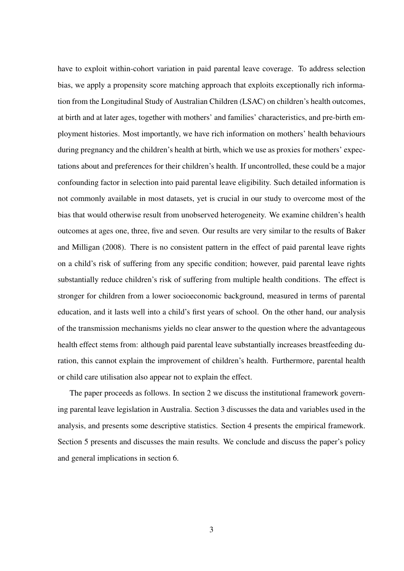have to exploit within-cohort variation in paid parental leave coverage. To address selection bias, we apply a propensity score matching approach that exploits exceptionally rich information from the Longitudinal Study of Australian Children (LSAC) on children's health outcomes, at birth and at later ages, together with mothers' and families' characteristics, and pre-birth employment histories. Most importantly, we have rich information on mothers' health behaviours during pregnancy and the children's health at birth, which we use as proxies for mothers' expectations about and preferences for their children's health. If uncontrolled, these could be a major confounding factor in selection into paid parental leave eligibility. Such detailed information is not commonly available in most datasets, yet is crucial in our study to overcome most of the bias that would otherwise result from unobserved heterogeneity. We examine children's health outcomes at ages one, three, five and seven. Our results are very similar to the results of Baker and Milligan (2008). There is no consistent pattern in the effect of paid parental leave rights on a child's risk of suffering from any specific condition; however, paid parental leave rights substantially reduce children's risk of suffering from multiple health conditions. The effect is stronger for children from a lower socioeconomic background, measured in terms of parental education, and it lasts well into a child's first years of school. On the other hand, our analysis of the transmission mechanisms yields no clear answer to the question where the advantageous health effect stems from: although paid parental leave substantially increases breastfeeding duration, this cannot explain the improvement of children's health. Furthermore, parental health or child care utilisation also appear not to explain the effect.

The paper proceeds as follows. In section 2 we discuss the institutional framework governing parental leave legislation in Australia. Section 3 discusses the data and variables used in the analysis, and presents some descriptive statistics. Section 4 presents the empirical framework. Section 5 presents and discusses the main results. We conclude and discuss the paper's policy and general implications in section 6.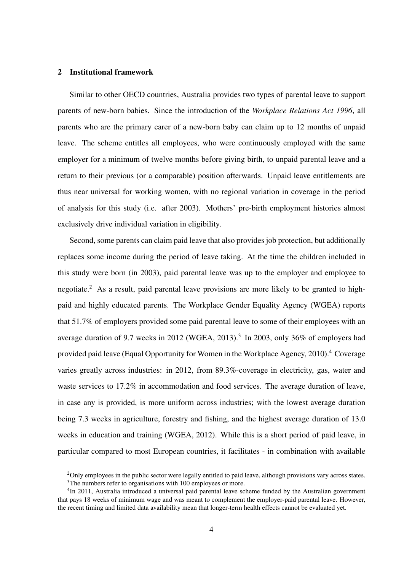#### 2 Institutional framework

Similar to other OECD countries, Australia provides two types of parental leave to support parents of new-born babies. Since the introduction of the *Workplace Relations Act 1996*, all parents who are the primary carer of a new-born baby can claim up to 12 months of unpaid leave. The scheme entitles all employees, who were continuously employed with the same employer for a minimum of twelve months before giving birth, to unpaid parental leave and a return to their previous (or a comparable) position afterwards. Unpaid leave entitlements are thus near universal for working women, with no regional variation in coverage in the period of analysis for this study (i.e. after 2003). Mothers' pre-birth employment histories almost exclusively drive individual variation in eligibility.

Second, some parents can claim paid leave that also provides job protection, but additionally replaces some income during the period of leave taking. At the time the children included in this study were born (in 2003), paid parental leave was up to the employer and employee to negotiate.<sup>2</sup> As a result, paid parental leave provisions are more likely to be granted to highpaid and highly educated parents. The Workplace Gender Equality Agency (WGEA) reports that 51.7% of employers provided some paid parental leave to some of their employees with an average duration of 9.7 weeks in 2012 (WGEA, 2013).<sup>3</sup> In 2003, only 36% of employers had provided paid leave (Equal Opportunity for Women in the Workplace Agency, 2010).<sup>4</sup> Coverage varies greatly across industries: in 2012, from 89.3%-coverage in electricity, gas, water and waste services to 17.2% in accommodation and food services. The average duration of leave, in case any is provided, is more uniform across industries; with the lowest average duration being 7.3 weeks in agriculture, forestry and fishing, and the highest average duration of 13.0 weeks in education and training (WGEA, 2012). While this is a short period of paid leave, in particular compared to most European countries, it facilitates - in combination with available

 $2$ Only employees in the public sector were legally entitled to paid leave, although provisions vary across states. <sup>3</sup>The numbers refer to organisations with 100 employees or more.

<sup>&</sup>lt;sup>4</sup>In 2011, Australia introduced a universal paid parental leave scheme funded by the Australian government that pays 18 weeks of minimum wage and was meant to complement the employer-paid parental leave. However, the recent timing and limited data availability mean that longer-term health effects cannot be evaluated yet.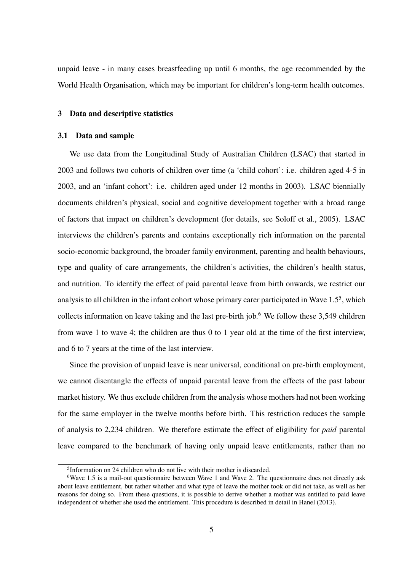unpaid leave - in many cases breastfeeding up until 6 months, the age recommended by the World Health Organisation, which may be important for children's long-term health outcomes.

#### 3 Data and descriptive statistics

#### 3.1 Data and sample

We use data from the Longitudinal Study of Australian Children (LSAC) that started in 2003 and follows two cohorts of children over time (a 'child cohort': i.e. children aged 4-5 in 2003, and an 'infant cohort': i.e. children aged under 12 months in 2003). LSAC biennially documents children's physical, social and cognitive development together with a broad range of factors that impact on children's development (for details, see Soloff et al., 2005). LSAC interviews the children's parents and contains exceptionally rich information on the parental socio-economic background, the broader family environment, parenting and health behaviours, type and quality of care arrangements, the children's activities, the children's health status, and nutrition. To identify the effect of paid parental leave from birth onwards, we restrict our analysis to all children in the infant cohort whose primary carer participated in Wave 1.5<sup>5</sup>, which collects information on leave taking and the last pre-birth job.<sup>6</sup> We follow these  $3,549$  children from wave 1 to wave 4; the children are thus 0 to 1 year old at the time of the first interview, and 6 to 7 years at the time of the last interview.

Since the provision of unpaid leave is near universal, conditional on pre-birth employment, we cannot disentangle the effects of unpaid parental leave from the effects of the past labour market history. We thus exclude children from the analysis whose mothers had not been working for the same employer in the twelve months before birth. This restriction reduces the sample of analysis to 2,234 children. We therefore estimate the effect of eligibility for *paid* parental leave compared to the benchmark of having only unpaid leave entitlements, rather than no

<sup>5</sup> Information on 24 children who do not live with their mother is discarded.

<sup>6</sup>Wave 1.5 is a mail-out questionnaire between Wave 1 and Wave 2. The questionnaire does not directly ask about leave entitlement, but rather whether and what type of leave the mother took or did not take, as well as her reasons for doing so. From these questions, it is possible to derive whether a mother was entitled to paid leave independent of whether she used the entitlement. This procedure is described in detail in Hanel (2013).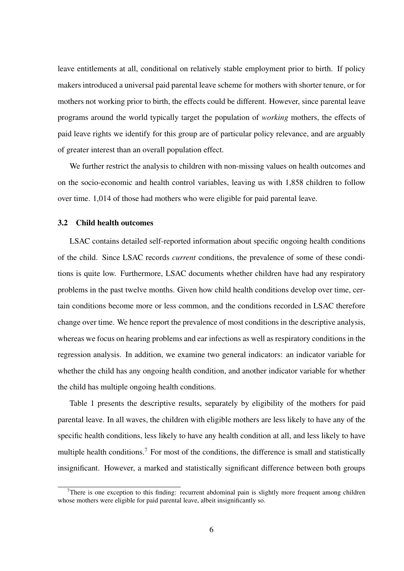leave entitlements at all, conditional on relatively stable employment prior to birth. If policy makers introduced a universal paid parental leave scheme for mothers with shorter tenure, or for mothers not working prior to birth, the effects could be different. However, since parental leave programs around the world typically target the population of *working* mothers, the effects of paid leave rights we identify for this group are of particular policy relevance, and are arguably of greater interest than an overall population effect.

We further restrict the analysis to children with non-missing values on health outcomes and on the socio-economic and health control variables, leaving us with 1,858 children to follow over time. 1,014 of those had mothers who were eligible for paid parental leave.

#### 3.2 Child health outcomes

LSAC contains detailed self-reported information about specific ongoing health conditions of the child. Since LSAC records *current* conditions, the prevalence of some of these conditions is quite low. Furthermore, LSAC documents whether children have had any respiratory problems in the past twelve months. Given how child health conditions develop over time, certain conditions become more or less common, and the conditions recorded in LSAC therefore change over time. We hence report the prevalence of most conditions in the descriptive analysis, whereas we focus on hearing problems and ear infections as well as respiratory conditions in the regression analysis. In addition, we examine two general indicators: an indicator variable for whether the child has any ongoing health condition, and another indicator variable for whether the child has multiple ongoing health conditions.

Table 1 presents the descriptive results, separately by eligibility of the mothers for paid parental leave. In all waves, the children with eligible mothers are less likely to have any of the specific health conditions, less likely to have any health condition at all, and less likely to have multiple health conditions.<sup>7</sup> For most of the conditions, the difference is small and statistically insignificant. However, a marked and statistically significant difference between both groups

There is one exception to this finding: recurrent abdominal pain is slightly more frequent among children whose mothers were eligible for paid parental leave, albeit insignificantly so.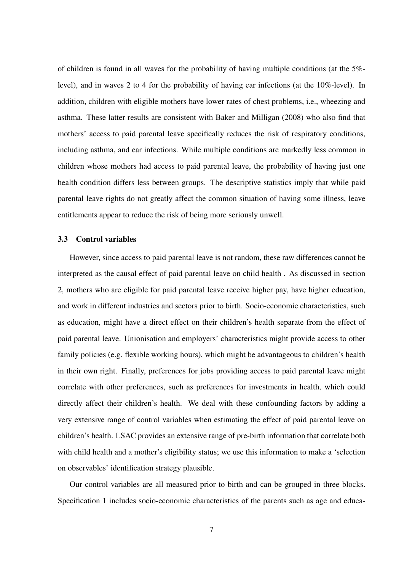of children is found in all waves for the probability of having multiple conditions (at the 5% level), and in waves 2 to 4 for the probability of having ear infections (at the 10%-level). In addition, children with eligible mothers have lower rates of chest problems, i.e., wheezing and asthma. These latter results are consistent with Baker and Milligan (2008) who also find that mothers' access to paid parental leave specifically reduces the risk of respiratory conditions, including asthma, and ear infections. While multiple conditions are markedly less common in children whose mothers had access to paid parental leave, the probability of having just one health condition differs less between groups. The descriptive statistics imply that while paid parental leave rights do not greatly affect the common situation of having some illness, leave entitlements appear to reduce the risk of being more seriously unwell.

#### 3.3 Control variables

However, since access to paid parental leave is not random, these raw differences cannot be interpreted as the causal effect of paid parental leave on child health . As discussed in section 2, mothers who are eligible for paid parental leave receive higher pay, have higher education, and work in different industries and sectors prior to birth. Socio-economic characteristics, such as education, might have a direct effect on their children's health separate from the effect of paid parental leave. Unionisation and employers' characteristics might provide access to other family policies (e.g. flexible working hours), which might be advantageous to children's health in their own right. Finally, preferences for jobs providing access to paid parental leave might correlate with other preferences, such as preferences for investments in health, which could directly affect their children's health. We deal with these confounding factors by adding a very extensive range of control variables when estimating the effect of paid parental leave on children's health. LSAC provides an extensive range of pre-birth information that correlate both with child health and a mother's eligibility status; we use this information to make a 'selection on observables' identification strategy plausible.

Our control variables are all measured prior to birth and can be grouped in three blocks. Specification 1 includes socio-economic characteristics of the parents such as age and educa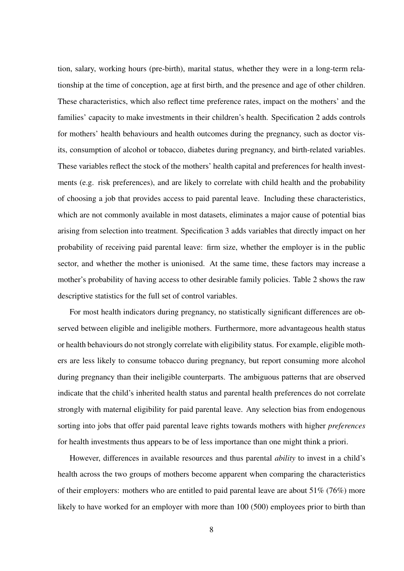tion, salary, working hours (pre-birth), marital status, whether they were in a long-term relationship at the time of conception, age at first birth, and the presence and age of other children. These characteristics, which also reflect time preference rates, impact on the mothers' and the families' capacity to make investments in their children's health. Specification 2 adds controls for mothers' health behaviours and health outcomes during the pregnancy, such as doctor visits, consumption of alcohol or tobacco, diabetes during pregnancy, and birth-related variables. These variables reflect the stock of the mothers' health capital and preferences for health investments (e.g. risk preferences), and are likely to correlate with child health and the probability of choosing a job that provides access to paid parental leave. Including these characteristics, which are not commonly available in most datasets, eliminates a major cause of potential bias arising from selection into treatment. Specification 3 adds variables that directly impact on her probability of receiving paid parental leave: firm size, whether the employer is in the public sector, and whether the mother is unionised. At the same time, these factors may increase a mother's probability of having access to other desirable family policies. Table 2 shows the raw descriptive statistics for the full set of control variables.

For most health indicators during pregnancy, no statistically significant differences are observed between eligible and ineligible mothers. Furthermore, more advantageous health status or health behaviours do not strongly correlate with eligibility status. For example, eligible mothers are less likely to consume tobacco during pregnancy, but report consuming more alcohol during pregnancy than their ineligible counterparts. The ambiguous patterns that are observed indicate that the child's inherited health status and parental health preferences do not correlate strongly with maternal eligibility for paid parental leave. Any selection bias from endogenous sorting into jobs that offer paid parental leave rights towards mothers with higher *preferences* for health investments thus appears to be of less importance than one might think a priori.

However, differences in available resources and thus parental *ability* to invest in a child's health across the two groups of mothers become apparent when comparing the characteristics of their employers: mothers who are entitled to paid parental leave are about 51% (76%) more likely to have worked for an employer with more than 100 (500) employees prior to birth than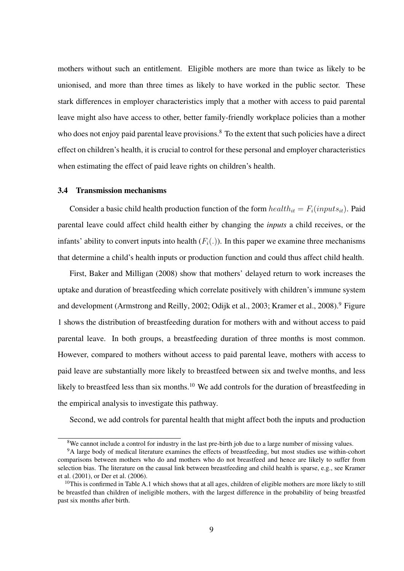mothers without such an entitlement. Eligible mothers are more than twice as likely to be unionised, and more than three times as likely to have worked in the public sector. These stark differences in employer characteristics imply that a mother with access to paid parental leave might also have access to other, better family-friendly workplace policies than a mother who does not enjoy paid parental leave provisions.<sup>8</sup> To the extent that such policies have a direct effect on children's health, it is crucial to control for these personal and employer characteristics when estimating the effect of paid leave rights on children's health.

#### 3.4 Transmission mechanisms

Consider a basic child health production function of the form  $\text{health}_{it} = F_i(\text{inputs}_{it})$ . Paid parental leave could affect child health either by changing the *inputs* a child receives, or the infants' ability to convert inputs into health  $(F_i(.)$ ). In this paper we examine three mechanisms that determine a child's health inputs or production function and could thus affect child health.

First, Baker and Milligan (2008) show that mothers' delayed return to work increases the uptake and duration of breastfeeding which correlate positively with children's immune system and development (Armstrong and Reilly, 2002; Odijk et al., 2003; Kramer et al., 2008).<sup>9</sup> Figure 1 shows the distribution of breastfeeding duration for mothers with and without access to paid parental leave. In both groups, a breastfeeding duration of three months is most common. However, compared to mothers without access to paid parental leave, mothers with access to paid leave are substantially more likely to breastfeed between six and twelve months, and less likely to breastfeed less than six months.<sup>10</sup> We add controls for the duration of breastfeeding in the empirical analysis to investigate this pathway.

Second, we add controls for parental health that might affect both the inputs and production

<sup>&</sup>lt;sup>8</sup>We cannot include a control for industry in the last pre-birth job due to a large number of missing values.

<sup>&</sup>lt;sup>9</sup>A large body of medical literature examines the effects of breastfeeding, but most studies use within-cohort comparisons between mothers who do and mothers who do not breastfeed and hence are likely to suffer from selection bias. The literature on the causal link between breastfeeding and child health is sparse, e.g., see Kramer et al. (2001), or Der et al. (2006).

 $10$ This is confirmed in Table A.1 which shows that at all ages, children of eligible mothers are more likely to still be breastfed than children of ineligible mothers, with the largest difference in the probability of being breastfed past six months after birth.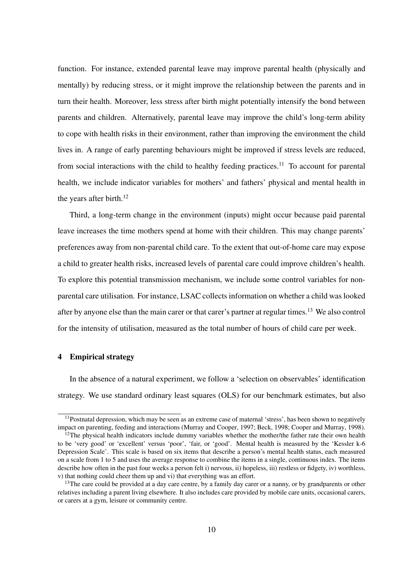function. For instance, extended parental leave may improve parental health (physically and mentally) by reducing stress, or it might improve the relationship between the parents and in turn their health. Moreover, less stress after birth might potentially intensify the bond between parents and children. Alternatively, parental leave may improve the child's long-term ability to cope with health risks in their environment, rather than improving the environment the child lives in. A range of early parenting behaviours might be improved if stress levels are reduced, from social interactions with the child to healthy feeding practices.<sup>11</sup> To account for parental health, we include indicator variables for mothers' and fathers' physical and mental health in the years after birth. $12$ 

Third, a long-term change in the environment (inputs) might occur because paid parental leave increases the time mothers spend at home with their children. This may change parents' preferences away from non-parental child care. To the extent that out-of-home care may expose a child to greater health risks, increased levels of parental care could improve children's health. To explore this potential transmission mechanism, we include some control variables for nonparental care utilisation. For instance, LSAC collects information on whether a child was looked after by anyone else than the main carer or that carer's partner at regular times.<sup>13</sup> We also control for the intensity of utilisation, measured as the total number of hours of child care per week.

#### 4 Empirical strategy

In the absence of a natural experiment, we follow a 'selection on observables' identification strategy. We use standard ordinary least squares (OLS) for our benchmark estimates, but also

<sup>&</sup>lt;sup>11</sup>Postnatal depression, which may be seen as an extreme case of maternal 'stress', has been shown to negatively impact on parenting, feeding and interactions (Murray and Cooper, 1997; Beck, 1998; Cooper and Murray, 1998).

 $12$ The physical health indicators include dummy variables whether the mother/the father rate their own health to be 'very good' or 'excellent' versus 'poor', 'fair, or 'good'. Mental health is measured by the 'Kessler k-6 Depression Scale'. This scale is based on six items that describe a person's mental health status, each measured on a scale from 1 to 5 and uses the average response to combine the items in a single, continuous index. The items describe how often in the past four weeks a person felt i) nervous, ii) hopeless, iii) restless or fidgety, iv) worthless, v) that nothing could cheer them up and vi) that everything was an effort.

<sup>&</sup>lt;sup>13</sup>The care could be provided at a day care centre, by a family day carer or a nanny, or by grandparents or other relatives including a parent living elsewhere. It also includes care provided by mobile care units, occasional carers, or carers at a gym, leisure or community centre.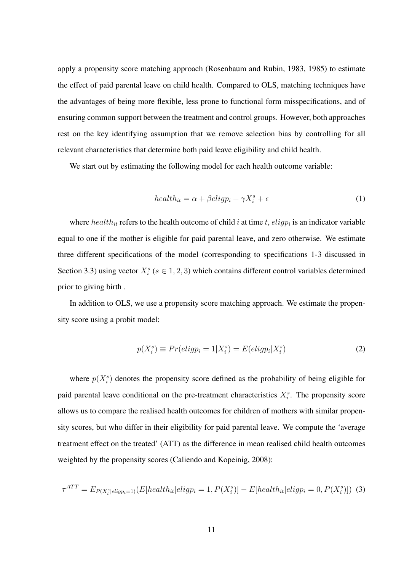apply a propensity score matching approach (Rosenbaum and Rubin, 1983, 1985) to estimate the effect of paid parental leave on child health. Compared to OLS, matching techniques have the advantages of being more flexible, less prone to functional form misspecifications, and of ensuring common support between the treatment and control groups. However, both approaches rest on the key identifying assumption that we remove selection bias by controlling for all relevant characteristics that determine both paid leave eligibility and child health.

We start out by estimating the following model for each health outcome variable:

$$
health_{it} = \alpha + \beta \text{elig} p_i + \gamma X_i^s + \epsilon \tag{1}
$$

where  $\text{health}_{it}$  refers to the health outcome of child *i* at time *t*,  $\text{clip}_{i}$  is an indicator variable equal to one if the mother is eligible for paid parental leave, and zero otherwise. We estimate three different specifications of the model (corresponding to specifications 1-3 discussed in Section 3.3) using vector  $X_i^s$  ( $s \in 1, 2, 3$ ) which contains different control variables determined prior to giving birth .

In addition to OLS, we use a propensity score matching approach. We estimate the propensity score using a probit model:

$$
p(X_i^s) \equiv Pr(eligp_i = 1 | X_i^s) = E(eligp_i | X_i^s)
$$
\n<sup>(2)</sup>

where  $p(X_i^s)$  denotes the propensity score defined as the probability of being eligible for paid parental leave conditional on the pre-treatment characteristics  $X_i^s$ . The propensity score allows us to compare the realised health outcomes for children of mothers with similar propensity scores, but who differ in their eligibility for paid parental leave. We compute the 'average treatment effect on the treated' (ATT) as the difference in mean realised child health outcomes weighted by the propensity scores (Caliendo and Kopeinig, 2008):

$$
\tau^{ATT} = E_{P(X_i^s|elig p_i=1)}(E[health_{it}|elig p_i=1, P(X_i^s)] - E[health_{it}|elig p_i=0, P(X_i^s)]) \tag{3}
$$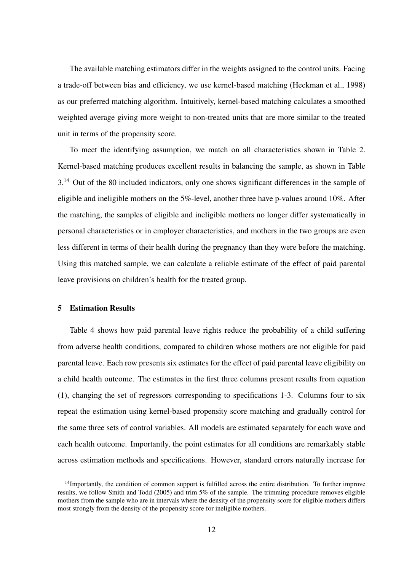The available matching estimators differ in the weights assigned to the control units. Facing a trade-off between bias and efficiency, we use kernel-based matching (Heckman et al., 1998) as our preferred matching algorithm. Intuitively, kernel-based matching calculates a smoothed weighted average giving more weight to non-treated units that are more similar to the treated unit in terms of the propensity score.

To meet the identifying assumption, we match on all characteristics shown in Table 2. Kernel-based matching produces excellent results in balancing the sample, as shown in Table 3.<sup>14</sup> Out of the 80 included indicators, only one shows significant differences in the sample of eligible and ineligible mothers on the 5%-level, another three have p-values around 10%. After the matching, the samples of eligible and ineligible mothers no longer differ systematically in personal characteristics or in employer characteristics, and mothers in the two groups are even less different in terms of their health during the pregnancy than they were before the matching. Using this matched sample, we can calculate a reliable estimate of the effect of paid parental leave provisions on children's health for the treated group.

#### 5 Estimation Results

Table 4 shows how paid parental leave rights reduce the probability of a child suffering from adverse health conditions, compared to children whose mothers are not eligible for paid parental leave. Each row presents six estimates for the effect of paid parental leave eligibility on a child health outcome. The estimates in the first three columns present results from equation (1), changing the set of regressors corresponding to specifications 1-3. Columns four to six repeat the estimation using kernel-based propensity score matching and gradually control for the same three sets of control variables. All models are estimated separately for each wave and each health outcome. Importantly, the point estimates for all conditions are remarkably stable across estimation methods and specifications. However, standard errors naturally increase for

<sup>&</sup>lt;sup>14</sup>Importantly, the condition of common support is fulfilled across the entire distribution. To further improve results, we follow Smith and Todd (2005) and trim 5% of the sample. The trimming procedure removes eligible mothers from the sample who are in intervals where the density of the propensity score for eligible mothers differs most strongly from the density of the propensity score for ineligible mothers.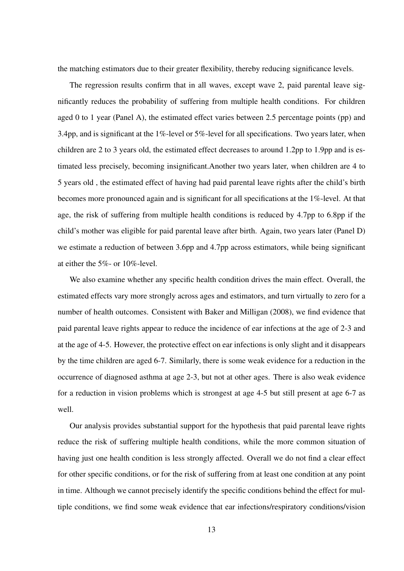the matching estimators due to their greater flexibility, thereby reducing significance levels.

The regression results confirm that in all waves, except wave 2, paid parental leave significantly reduces the probability of suffering from multiple health conditions. For children aged 0 to 1 year (Panel A), the estimated effect varies between 2.5 percentage points (pp) and 3.4pp, and is significant at the 1%-level or 5%-level for all specifications. Two years later, when children are 2 to 3 years old, the estimated effect decreases to around 1.2pp to 1.9pp and is estimated less precisely, becoming insignificant.Another two years later, when children are 4 to 5 years old , the estimated effect of having had paid parental leave rights after the child's birth becomes more pronounced again and is significant for all specifications at the 1%-level. At that age, the risk of suffering from multiple health conditions is reduced by 4.7pp to 6.8pp if the child's mother was eligible for paid parental leave after birth. Again, two years later (Panel D) we estimate a reduction of between 3.6pp and 4.7pp across estimators, while being significant at either the 5%- or 10%-level.

We also examine whether any specific health condition drives the main effect. Overall, the estimated effects vary more strongly across ages and estimators, and turn virtually to zero for a number of health outcomes. Consistent with Baker and Milligan (2008), we find evidence that paid parental leave rights appear to reduce the incidence of ear infections at the age of 2-3 and at the age of 4-5. However, the protective effect on ear infections is only slight and it disappears by the time children are aged 6-7. Similarly, there is some weak evidence for a reduction in the occurrence of diagnosed asthma at age 2-3, but not at other ages. There is also weak evidence for a reduction in vision problems which is strongest at age 4-5 but still present at age 6-7 as well.

Our analysis provides substantial support for the hypothesis that paid parental leave rights reduce the risk of suffering multiple health conditions, while the more common situation of having just one health condition is less strongly affected. Overall we do not find a clear effect for other specific conditions, or for the risk of suffering from at least one condition at any point in time. Although we cannot precisely identify the specific conditions behind the effect for multiple conditions, we find some weak evidence that ear infections/respiratory conditions/vision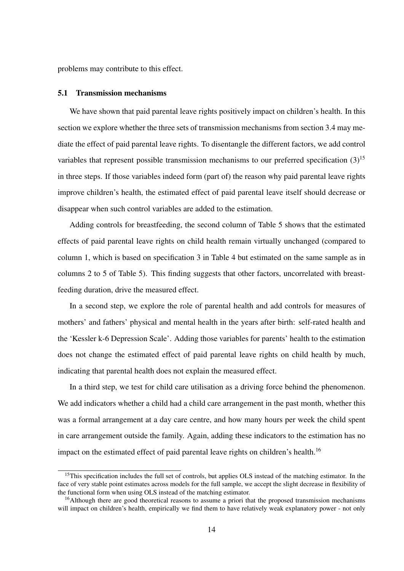problems may contribute to this effect.

#### 5.1 Transmission mechanisms

We have shown that paid parental leave rights positively impact on children's health. In this section we explore whether the three sets of transmission mechanisms from section 3.4 may mediate the effect of paid parental leave rights. To disentangle the different factors, we add control variables that represent possible transmission mechanisms to our preferred specification  $(3)^{15}$ in three steps. If those variables indeed form (part of) the reason why paid parental leave rights improve children's health, the estimated effect of paid parental leave itself should decrease or disappear when such control variables are added to the estimation.

Adding controls for breastfeeding, the second column of Table 5 shows that the estimated effects of paid parental leave rights on child health remain virtually unchanged (compared to column 1, which is based on specification 3 in Table 4 but estimated on the same sample as in columns 2 to 5 of Table 5). This finding suggests that other factors, uncorrelated with breastfeeding duration, drive the measured effect.

In a second step, we explore the role of parental health and add controls for measures of mothers' and fathers' physical and mental health in the years after birth: self-rated health and the 'Kessler k-6 Depression Scale'. Adding those variables for parents' health to the estimation does not change the estimated effect of paid parental leave rights on child health by much, indicating that parental health does not explain the measured effect.

In a third step, we test for child care utilisation as a driving force behind the phenomenon. We add indicators whether a child had a child care arrangement in the past month, whether this was a formal arrangement at a day care centre, and how many hours per week the child spent in care arrangement outside the family. Again, adding these indicators to the estimation has no impact on the estimated effect of paid parental leave rights on children's health.<sup>16</sup>

<sup>&</sup>lt;sup>15</sup>This specification includes the full set of controls, but applies OLS instead of the matching estimator. In the face of very stable point estimates across models for the full sample, we accept the slight decrease in flexibility of the functional form when using OLS instead of the matching estimator.

<sup>&</sup>lt;sup>16</sup>Although there are good theoretical reasons to assume a priori that the proposed transmission mechanisms will impact on children's health, empirically we find them to have relatively weak explanatory power - not only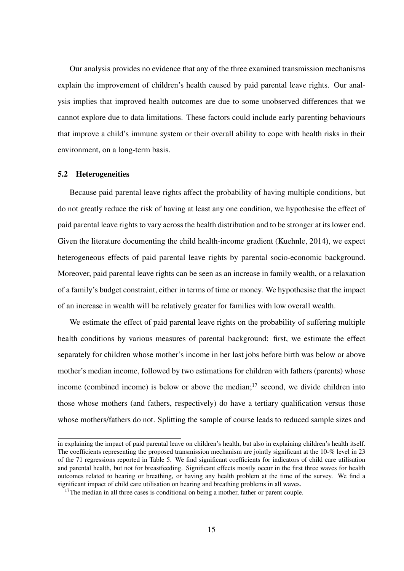Our analysis provides no evidence that any of the three examined transmission mechanisms explain the improvement of children's health caused by paid parental leave rights. Our analysis implies that improved health outcomes are due to some unobserved differences that we cannot explore due to data limitations. These factors could include early parenting behaviours that improve a child's immune system or their overall ability to cope with health risks in their environment, on a long-term basis.

#### 5.2 Heterogeneities

Because paid parental leave rights affect the probability of having multiple conditions, but do not greatly reduce the risk of having at least any one condition, we hypothesise the effect of paid parental leave rights to vary across the health distribution and to be stronger at its lower end. Given the literature documenting the child health-income gradient (Kuehnle, 2014), we expect heterogeneous effects of paid parental leave rights by parental socio-economic background. Moreover, paid parental leave rights can be seen as an increase in family wealth, or a relaxation of a family's budget constraint, either in terms of time or money. We hypothesise that the impact of an increase in wealth will be relatively greater for families with low overall wealth.

We estimate the effect of paid parental leave rights on the probability of suffering multiple health conditions by various measures of parental background: first, we estimate the effect separately for children whose mother's income in her last jobs before birth was below or above mother's median income, followed by two estimations for children with fathers (parents) whose income (combined income) is below or above the median; $17$  second, we divide children into those whose mothers (and fathers, respectively) do have a tertiary qualification versus those whose mothers/fathers do not. Splitting the sample of course leads to reduced sample sizes and

in explaining the impact of paid parental leave on children's health, but also in explaining children's health itself. The coefficients representing the proposed transmission mechanism are jointly significant at the 10-% level in 23 of the 71 regressions reported in Table 5. We find significant coefficients for indicators of child care utilisation and parental health, but not for breastfeeding. Significant effects mostly occur in the first three waves for health outcomes related to hearing or breathing, or having any health problem at the time of the survey. We find a significant impact of child care utilisation on hearing and breathing problems in all waves.

 $17$ The median in all three cases is conditional on being a mother, father or parent couple.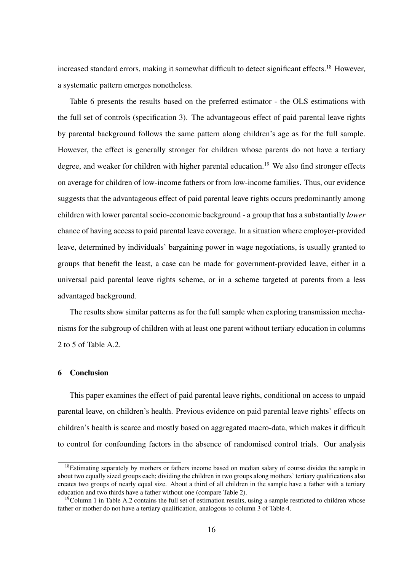increased standard errors, making it somewhat difficult to detect significant effects.<sup>18</sup> However, a systematic pattern emerges nonetheless.

Table 6 presents the results based on the preferred estimator - the OLS estimations with the full set of controls (specification 3). The advantageous effect of paid parental leave rights by parental background follows the same pattern along children's age as for the full sample. However, the effect is generally stronger for children whose parents do not have a tertiary degree, and weaker for children with higher parental education.<sup>19</sup> We also find stronger effects on average for children of low-income fathers or from low-income families. Thus, our evidence suggests that the advantageous effect of paid parental leave rights occurs predominantly among children with lower parental socio-economic background - a group that has a substantially *lower* chance of having access to paid parental leave coverage. In a situation where employer-provided leave, determined by individuals' bargaining power in wage negotiations, is usually granted to groups that benefit the least, a case can be made for government-provided leave, either in a universal paid parental leave rights scheme, or in a scheme targeted at parents from a less advantaged background.

The results show similar patterns as for the full sample when exploring transmission mechanisms for the subgroup of children with at least one parent without tertiary education in columns 2 to 5 of Table A.2.

#### 6 Conclusion

This paper examines the effect of paid parental leave rights, conditional on access to unpaid parental leave, on children's health. Previous evidence on paid parental leave rights' effects on children's health is scarce and mostly based on aggregated macro-data, which makes it difficult to control for confounding factors in the absence of randomised control trials. Our analysis

<sup>&</sup>lt;sup>18</sup>Estimating separately by mothers or fathers income based on median salary of course divides the sample in about two equally sized groups each; dividing the children in two groups along mothers' tertiary qualifications also creates two groups of nearly equal size. About a third of all children in the sample have a father with a tertiary education and two thirds have a father without one (compare Table 2).

 $19$ Column 1 in Table A.2 contains the full set of estimation results, using a sample restricted to children whose father or mother do not have a tertiary qualification, analogous to column 3 of Table 4.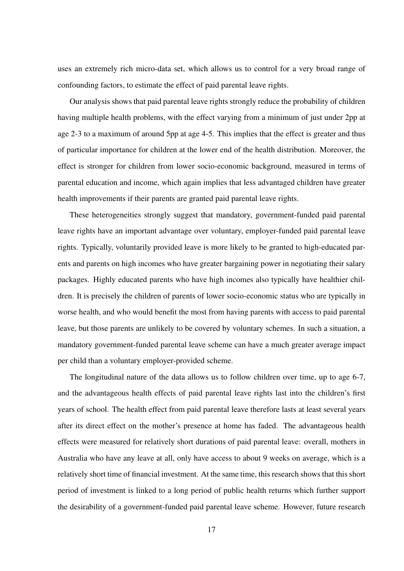uses an extremely rich micro-data set, which allows us to control for a very broad range of confounding factors, to estimate the effect of paid parental leave rights.

Our analysis shows that paid parental leave rights strongly reduce the probability of children having multiple health problems, with the effect varying from a minimum of just under 2pp at age 2-3 to a maximum of around 5pp at age 4-5. This implies that the effect is greater and thus of particular importance for children at the lower end of the health distribution. Moreover, the effect is stronger for children from lower socio-economic background, measured in terms of parental education and income, which again implies that less advantaged children have greater health improvements if their parents are granted paid parental leave rights.

These heterogeneities strongly suggest that mandatory, government-funded paid parental leave rights have an important advantage over voluntary, employer-funded paid parental leave rights. Typically, voluntarily provided leave is more likely to be granted to high-educated parents and parents on high incomes who have greater bargaining power in negotiating their salary packages. Highly educated parents who have high incomes also typically have healthier children. It is precisely the children of parents of lower socio-economic status who are typically in worse health, and who would benefit the most from having parents with access to paid parental leave, but those parents are unlikely to be covered by voluntary schemes. In such a situation, a mandatory government-funded parental leave scheme can have a much greater average impact per child than a voluntary employer-provided scheme.

The longitudinal nature of the data allows us to follow children over time, up to age 6-7, and the advantageous health effects of paid parental leave rights last into the children's first years of school. The health effect from paid parental leave therefore lasts at least several years after its direct effect on the mother's presence at home has faded. The advantageous health effects were measured for relatively short durations of paid parental leave: overall, mothers in Australia who have any leave at all, only have access to about 9 weeks on average, which is a relatively short time of financial investment. At the same time, this research shows that this short period of investment is linked to a long period of public health returns which further support the desirability of a government-funded paid parental leave scheme. However, future research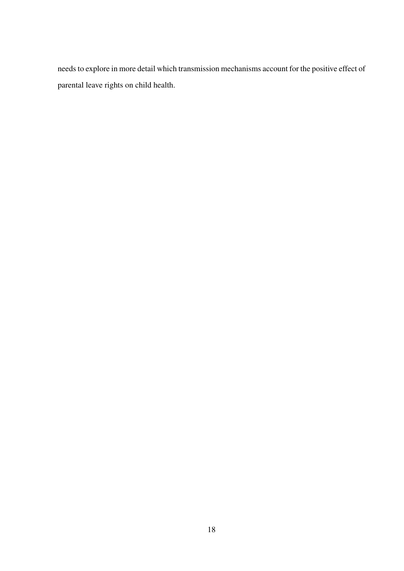needs to explore in more detail which transmission mechanisms account for the positive effect of parental leave rights on child health.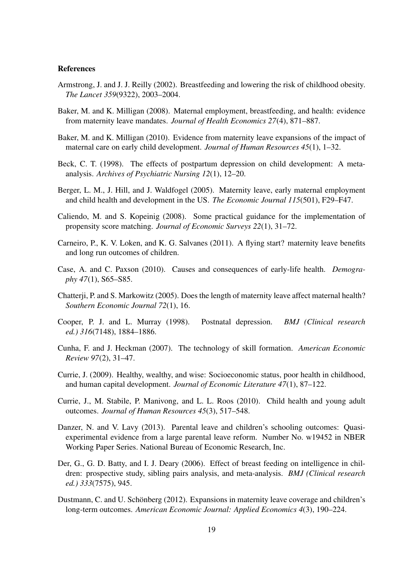#### References

- Armstrong, J. and J. J. Reilly (2002). Breastfeeding and lowering the risk of childhood obesity. *The Lancet 359*(9322), 2003–2004.
- Baker, M. and K. Milligan (2008). Maternal employment, breastfeeding, and health: evidence from maternity leave mandates. *Journal of Health Economics 27*(4), 871–887.
- Baker, M. and K. Milligan (2010). Evidence from maternity leave expansions of the impact of maternal care on early child development. *Journal of Human Resources 45*(1), 1–32.
- Beck, C. T. (1998). The effects of postpartum depression on child development: A metaanalysis. *Archives of Psychiatric Nursing 12*(1), 12–20.
- Berger, L. M., J. Hill, and J. Waldfogel (2005). Maternity leave, early maternal employment and child health and development in the US. *The Economic Journal 115*(501), F29–F47.
- Caliendo, M. and S. Kopeinig (2008). Some practical guidance for the implementation of propensity score matching. *Journal of Economic Surveys 22*(1), 31–72.
- Carneiro, P., K. V. Loken, and K. G. Salvanes (2011). A flying start? maternity leave benefits and long run outcomes of children.
- Case, A. and C. Paxson (2010). Causes and consequences of early-life health. *Demography 47*(1), S65–S85.
- Chatterji, P. and S. Markowitz (2005). Does the length of maternity leave affect maternal health? *Southern Economic Journal 72*(1), 16.
- Cooper, P. J. and L. Murray (1998). Postnatal depression. *BMJ (Clinical research ed.) 316*(7148), 1884–1886.
- Cunha, F. and J. Heckman (2007). The technology of skill formation. *American Economic Review 97*(2), 31–47.
- Currie, J. (2009). Healthy, wealthy, and wise: Socioeconomic status, poor health in childhood, and human capital development. *Journal of Economic Literature 47*(1), 87–122.
- Currie, J., M. Stabile, P. Manivong, and L. L. Roos (2010). Child health and young adult outcomes. *Journal of Human Resources 45*(3), 517–548.
- Danzer, N. and V. Lavy (2013). Parental leave and children's schooling outcomes: Quasiexperimental evidence from a large parental leave reform. Number No. w19452 in NBER Working Paper Series. National Bureau of Economic Research, Inc.
- Der, G., G. D. Batty, and I. J. Deary (2006). Effect of breast feeding on intelligence in children: prospective study, sibling pairs analysis, and meta-analysis. *BMJ (Clinical research ed.) 333*(7575), 945.
- Dustmann, C. and U. Schönberg (2012). Expansions in maternity leave coverage and children's long-term outcomes. *American Economic Journal: Applied Economics 4*(3), 190–224.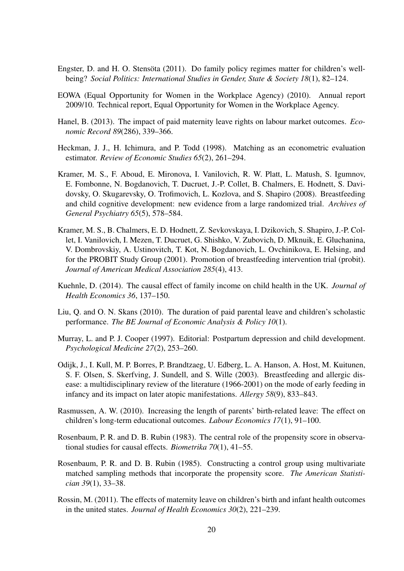- Engster, D. and H. O. Stensöta (2011). Do family policy regimes matter for children's wellbeing? *Social Politics: International Studies in Gender, State & Society 18*(1), 82–124.
- EOWA (Equal Opportunity for Women in the Workplace Agency) (2010). Annual report 2009/10. Technical report, Equal Opportunity for Women in the Workplace Agency.
- Hanel, B. (2013). The impact of paid maternity leave rights on labour market outcomes. *Economic Record 89*(286), 339–366.
- Heckman, J. J., H. Ichimura, and P. Todd (1998). Matching as an econometric evaluation estimator. *Review of Economic Studies 65*(2), 261–294.
- Kramer, M. S., F. Aboud, E. Mironova, I. Vanilovich, R. W. Platt, L. Matush, S. Igumnov, E. Fombonne, N. Bogdanovich, T. Ducruet, J.-P. Collet, B. Chalmers, E. Hodnett, S. Davidovsky, O. Skugarevsky, O. Trofimovich, L. Kozlova, and S. Shapiro (2008). Breastfeeding and child cognitive development: new evidence from a large randomized trial. *Archives of General Psychiatry 65*(5), 578–584.
- Kramer, M. S., B. Chalmers, E. D. Hodnett, Z. Sevkovskaya, I. Dzikovich, S. Shapiro, J.-P. Collet, I. Vanilovich, I. Mezen, T. Ducruet, G. Shishko, V. Zubovich, D. Mknuik, E. Gluchanina, V. Dombrovskiy, A. Ustinovitch, T. Kot, N. Bogdanovich, L. Ovchinikova, E. Helsing, and for the PROBIT Study Group (2001). Promotion of breastfeeding intervention trial (probit). *Journal of American Medical Association 285*(4), 413.
- Kuehnle, D. (2014). The causal effect of family income on child health in the UK. *Journal of Health Economics 36*, 137–150.
- Liu, Q. and O. N. Skans (2010). The duration of paid parental leave and children's scholastic performance. *The BE Journal of Economic Analysis & Policy 10*(1).
- Murray, L. and P. J. Cooper (1997). Editorial: Postpartum depression and child development. *Psychological Medicine 27*(2), 253–260.
- Odijk, J., I. Kull, M. P. Borres, P. Brandtzaeg, U. Edberg, L. A. Hanson, A. Host, M. Kuitunen, S. F. Olsen, S. Skerfving, J. Sundell, and S. Wille (2003). Breastfeeding and allergic disease: a multidisciplinary review of the literature (1966-2001) on the mode of early feeding in infancy and its impact on later atopic manifestations. *Allergy 58*(9), 833–843.
- Rasmussen, A. W. (2010). Increasing the length of parents' birth-related leave: The effect on children's long-term educational outcomes. *Labour Economics 17*(1), 91–100.
- Rosenbaum, P. R. and D. B. Rubin (1983). The central role of the propensity score in observational studies for causal effects. *Biometrika 70*(1), 41–55.
- Rosenbaum, P. R. and D. B. Rubin (1985). Constructing a control group using multivariate matched sampling methods that incorporate the propensity score. *The American Statistician 39*(1), 33–38.
- Rossin, M. (2011). The effects of maternity leave on children's birth and infant health outcomes in the united states. *Journal of Health Economics 30*(2), 221–239.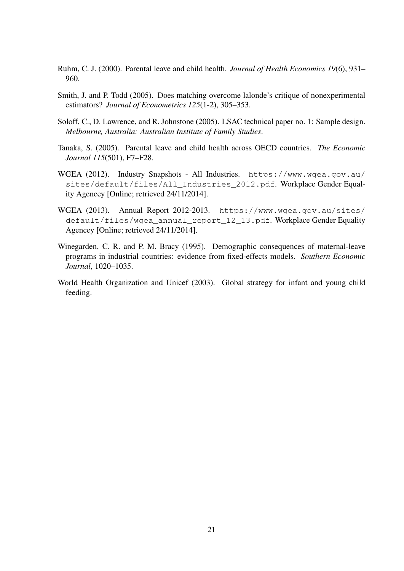- Ruhm, C. J. (2000). Parental leave and child health. *Journal of Health Economics 19*(6), 931– 960.
- Smith, J. and P. Todd (2005). Does matching overcome lalonde's critique of nonexperimental estimators? *Journal of Econometrics 125*(1-2), 305–353.
- Soloff, C., D. Lawrence, and R. Johnstone (2005). LSAC technical paper no. 1: Sample design. *Melbourne, Australia: Australian Institute of Family Studies*.
- Tanaka, S. (2005). Parental leave and child health across OECD countries. *The Economic Journal 115*(501), F7–F28.
- WGEA (2012). Industry Snapshots All Industries. https://www.wgea.gov.au/ sites/default/files/All\_Industries\_2012.pdf. Workplace Gender Equality Agencey [Online; retrieved 24/11/2014].
- WGEA (2013). Annual Report 2012-2013. https://www.wgea.gov.au/sites/ default/files/wgea\_annual\_report\_12\_13.pdf. Workplace Gender Equality Agencey [Online; retrieved 24/11/2014].
- Winegarden, C. R. and P. M. Bracy (1995). Demographic consequences of maternal-leave programs in industrial countries: evidence from fixed-effects models. *Southern Economic Journal*, 1020–1035.
- World Health Organization and Unicef (2003). Global strategy for infant and young child feeding.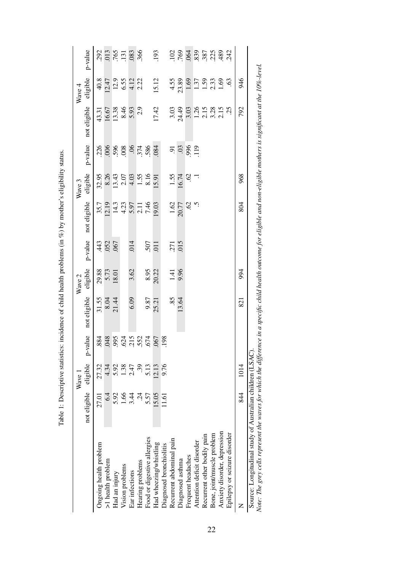|                              |              | $W$ ave  |             |                      | Wave 2                 |             |                                                                                               | Wave 3                                                                                                                                                                                                                                                                                                        |         |                                                                                                                                                                                                 | Wave <sub>4</sub>                                                             |                                                                                                                               |
|------------------------------|--------------|----------|-------------|----------------------|------------------------|-------------|-----------------------------------------------------------------------------------------------|---------------------------------------------------------------------------------------------------------------------------------------------------------------------------------------------------------------------------------------------------------------------------------------------------------------|---------|-------------------------------------------------------------------------------------------------------------------------------------------------------------------------------------------------|-------------------------------------------------------------------------------|-------------------------------------------------------------------------------------------------------------------------------|
|                              | not eligible | eligible | value<br>Ļ, | not eligible         | eligible               | p-value     | not eligible                                                                                  | eligible                                                                                                                                                                                                                                                                                                      | p-value | not eligible                                                                                                                                                                                    | eligible                                                                      | p-value                                                                                                                       |
| Ongoing health problem       | 27.01        | 27.32    | 884         |                      |                        |             |                                                                                               | 32.95                                                                                                                                                                                                                                                                                                         | 226     |                                                                                                                                                                                                 |                                                                               |                                                                                                                               |
| >1 health problem            | $6\dot{4}$   | 4.34     |             | $\frac{31.55}{8.04}$ | 29.88<br>5.73<br>18.01 |             | 35.7                                                                                          | 8.26                                                                                                                                                                                                                                                                                                          |         |                                                                                                                                                                                                 |                                                                               |                                                                                                                               |
| Had an injury                | 5.92         | 5.92     |             |                      |                        |             |                                                                                               |                                                                                                                                                                                                                                                                                                               |         |                                                                                                                                                                                                 |                                                                               |                                                                                                                               |
| Vision problems              | 66           | 1.38     |             |                      |                        |             | $14.3$<br>$4.25$<br>$7.4$<br>$7.4$<br>$7.6$<br>$14.3$<br>$14.3$<br>$14.3$<br>$14.3$<br>$14.3$ | $\begin{array}{c} 13.43 \\ 2.07 \\ 4.53 \\ 5.55 \\ 6.16 \\ 1.59 \\ 1.59 \\ 1.59 \\ 1.59 \\ 1.59 \\ 1.59 \\ 1.59 \\ 1.59 \\ 1.59 \\ 1.59 \\ 1.59 \\ 1.59 \\ 1.59 \\ 1.59 \\ 1.59 \\ 1.59 \\ 1.59 \\ 1.59 \\ 1.59 \\ 1.59 \\ 1.59 \\ 1.59 \\ 1.59 \\ 1.59 \\ 1.59 \\ 1.59 \\ 1.59 \\ 1.59 \\ 1.59 \\ 1.59 \\ 1$ |         | 43.31<br>16.67<br>13.38<br>8.46<br>5.93                                                                                                                                                         | $40.8$<br>12.47<br>12.9<br>14.12<br>4.12<br>2.22                              |                                                                                                                               |
| Ear infections               | 3.44         | 2.47     |             | 6.09                 | 3.62                   | .014        |                                                                                               |                                                                                                                                                                                                                                                                                                               |         |                                                                                                                                                                                                 |                                                                               |                                                                                                                               |
| Hearing problems             | र्यु         | 39       |             |                      |                        |             |                                                                                               |                                                                                                                                                                                                                                                                                                               |         |                                                                                                                                                                                                 |                                                                               |                                                                                                                               |
| Food or digestive allergies  | 5.57         | 5.13     |             |                      |                        | 507<br>110. |                                                                                               |                                                                                                                                                                                                                                                                                                               |         |                                                                                                                                                                                                 |                                                                               |                                                                                                                               |
| Had wheezing/whistling       | 15.05        | 12.13    |             | 9.87<br>25.21        | 8.95                   |             |                                                                                               |                                                                                                                                                                                                                                                                                                               |         | 17.42                                                                                                                                                                                           | 15.12                                                                         | .193                                                                                                                          |
| Diagnosed bronchiolitis      | 1.61         | 9.76     | 198         |                      |                        |             |                                                                                               |                                                                                                                                                                                                                                                                                                               |         |                                                                                                                                                                                                 |                                                                               |                                                                                                                               |
| Recurrent abdominal pain     |              |          |             | $\overline{58}$      | 1.41                   | 271         | $\frac{1.62}{20.77}$                                                                          | 1.55                                                                                                                                                                                                                                                                                                          |         |                                                                                                                                                                                                 |                                                                               |                                                                                                                               |
| Diagnosed asthma             |              |          |             | 13.64                |                        | 015         |                                                                                               |                                                                                                                                                                                                                                                                                                               |         |                                                                                                                                                                                                 |                                                                               |                                                                                                                               |
| Frequent headaches           |              |          |             |                      |                        |             |                                                                                               | $\approx$ -1                                                                                                                                                                                                                                                                                                  |         |                                                                                                                                                                                                 |                                                                               |                                                                                                                               |
| Attention deficit disorder   |              |          |             |                      |                        |             |                                                                                               |                                                                                                                                                                                                                                                                                                               |         |                                                                                                                                                                                                 |                                                                               |                                                                                                                               |
| Recurrent other bodily pain  |              |          |             |                      |                        |             |                                                                                               |                                                                                                                                                                                                                                                                                                               |         |                                                                                                                                                                                                 |                                                                               |                                                                                                                               |
| Bone, joint/muscle problem   |              |          |             |                      |                        |             |                                                                                               |                                                                                                                                                                                                                                                                                                               |         |                                                                                                                                                                                                 |                                                                               |                                                                                                                               |
| Anxiety disorder, depression |              |          |             |                      |                        |             |                                                                                               |                                                                                                                                                                                                                                                                                                               |         | $3.03\n7.49\n3.03\n1.26\n1.58\n1.53\n2.53\n2.53\n2.53\n2.53\n2.53\n2.53\n2.53\n2.53\n2.53\n2.53\n2.53\n2.53\n2.53\n2.53\n2.53\n2.53\n2.53\n2.53\n2.53\n2.53\n2.53\n2.53\n2.53\n2.53\n2.53\n2.5$ | $4.55$<br>$23.89$<br>$1.57$<br>$1.59$<br>$1.59$<br>$1.69$<br>$1.69$<br>$1.69$ | $\frac{2}{3}$ $\frac{8}{3}$ $\frac{3}{3}$ $\frac{8}{3}$ $\frac{8}{3}$ $\frac{8}{3}$ $\frac{4}{3}$ $\frac{3}{4}$ $\frac{3}{4}$ |
| Epilepsy or seizure disorder |              |          |             |                      |                        |             |                                                                                               |                                                                                                                                                                                                                                                                                                               |         |                                                                                                                                                                                                 |                                                                               |                                                                                                                               |
| Z                            | 844          | 1014     |             | 821                  | 994                    |             | 804                                                                                           | 968                                                                                                                                                                                                                                                                                                           |         | 792                                                                                                                                                                                             | 946                                                                           |                                                                                                                               |

Table 1: Descriptive statistics: incidence of child health problems (in %) by mother's eligibility status. Table 1: Descriptive statistics: incidence of child health problems (in %) by mother's eligibility status.

22

Note: The grey cells represent the waves for which the difference in a specific child health outcome for eligible and non-eligible mothers is significant at the 10%-level.

Source: Longitudinal study of Australian children (LSAC).<br>Note: The grey cells represent the waves for which the difference in a specific child health outcome for eligible and non-eligible mothers is significant at the 10%

Source: Longitudinal study of Australian children (LSAC).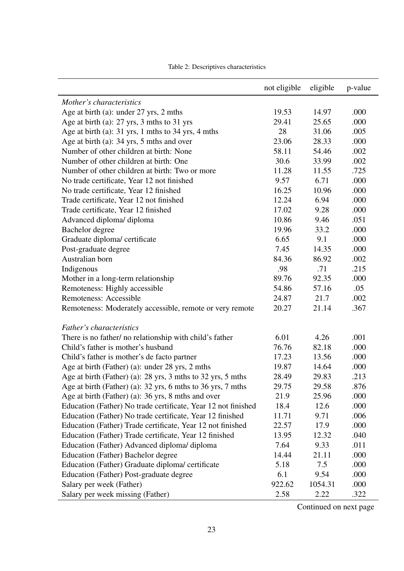|                                                               | not eligible | eligible | p-value |
|---------------------------------------------------------------|--------------|----------|---------|
| Mother's characteristics                                      |              |          |         |
| Age at birth (a): under $27$ yrs, 2 mths                      | 19.53        | 14.97    | .000    |
| Age at birth (a): 27 yrs, 3 mths to 31 yrs                    | 29.41        | 25.65    | .000    |
| Age at birth (a): 31 yrs, 1 mths to 34 yrs, 4 mths            | 28           | 31.06    | .005    |
| Age at birth (a): 34 yrs, 5 mths and over                     | 23.06        | 28.33    | .000    |
| Number of other children at birth: None                       | 58.11        | 54.46    | .002    |
| Number of other children at birth: One                        | 30.6         | 33.99    | .002    |
| Number of other children at birth: Two or more                | 11.28        | 11.55    | .725    |
| No trade certificate, Year 12 not finished                    | 9.57         | 6.71     | .000    |
| No trade certificate, Year 12 finished                        | 16.25        | 10.96    | .000    |
| Trade certificate, Year 12 not finished                       | 12.24        | 6.94     | .000    |
| Trade certificate, Year 12 finished                           | 17.02        | 9.28     | .000    |
| Advanced diploma/ diploma                                     | 10.86        | 9.46     | .051    |
| Bachelor degree                                               | 19.96        | 33.2     | .000    |
| Graduate diploma/ certificate                                 | 6.65         | 9.1      | .000    |
| Post-graduate degree                                          | 7.45         | 14.35    | .000    |
| Australian born                                               | 84.36        | 86.92    | .002    |
| Indigenous                                                    | .98          | .71      | .215    |
| Mother in a long-term relationship                            | 89.76        | 92.35    | .000    |
| Remoteness: Highly accessible                                 | 54.86        | 57.16    | .05     |
| Remoteness: Accessible                                        | 24.87        | 21.7     | .002    |
| Remoteness: Moderately accessible, remote or very remote      | 20.27        | 21.14    | .367    |
| Father's characteristics                                      |              |          |         |
| There is no father/ no relationship with child's father       | 6.01         | 4.26     | .001    |
| Child's father is mother's husband                            | 76.76        | 82.18    | .000    |
| Child's father is mother's de facto partner                   | 17.23        | 13.56    | .000    |
| Age at birth (Father) (a): under 28 yrs, 2 mths               | 19.87        | 14.64    | .000    |
| Age at birth (Father) (a): 28 yrs, 3 mths to 32 yrs, 5 mths   | 28.49        | 29.83    | .213    |
| Age at birth (Father) (a): 32 yrs, 6 mths to 36 yrs, 7 mths   | 29.75        | 29.58    | .876    |
| Age at birth (Father) (a): 36 yrs, 8 mths and over            | 21.9         | 25.96    | .000    |
| Education (Father) No trade certificate, Year 12 not finished | 18.4         | 12.6     | .000    |
| Education (Father) No trade certificate, Year 12 finished     | 11.71        | 9.71     | .006    |
| Education (Father) Trade certificate, Year 12 not finished    | 22.57        | 17.9     | .000    |
| Education (Father) Trade certificate, Year 12 finished        | 13.95        | 12.32    | .040    |
| Education (Father) Advanced diploma/diploma                   | 7.64         | 9.33     | .011    |
| Education (Father) Bachelor degree                            | 14.44        | 21.11    | .000    |
| Education (Father) Graduate diploma/ certificate              | 5.18         | 7.5      | .000    |
| Education (Father) Post-graduate degree                       | 6.1          | 9.54     | .000    |
| Salary per week (Father)                                      | 922.62       | 1054.31  | .000    |
| Salary per week missing (Father)                              | 2.58         | 2.22     | .322    |

Table 2: Descriptives characteristics

Continued on next page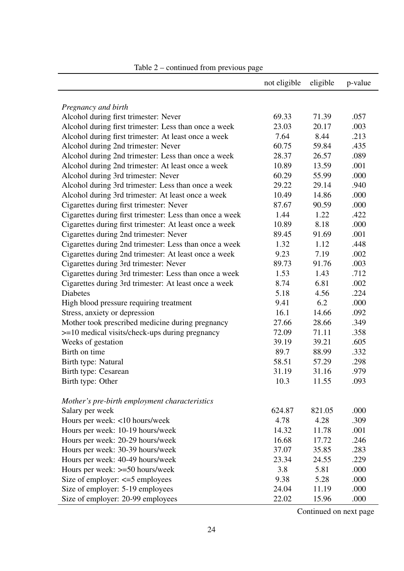|                                                          | not eligible | eligible | p-value |
|----------------------------------------------------------|--------------|----------|---------|
|                                                          |              |          |         |
| Pregnancy and birth                                      |              |          |         |
| Alcohol during first trimester: Never                    | 69.33        | 71.39    | .057    |
| Alcohol during first trimester: Less than once a week    | 23.03        | 20.17    | .003    |
| Alcohol during first trimester: At least once a week     | 7.64         | 8.44     | .213    |
| Alcohol during 2nd trimester: Never                      | 60.75        | 59.84    | .435    |
| Alcohol during 2nd trimester: Less than once a week      | 28.37        | 26.57    | .089    |
| Alcohol during 2nd trimester: At least once a week       | 10.89        | 13.59    | .001    |
| Alcohol during 3rd trimester: Never                      | 60.29        | 55.99    | .000    |
| Alcohol during 3rd trimester: Less than once a week      | 29.22        | 29.14    | .940    |
| Alcohol during 3rd trimester: At least once a week       | 10.49        | 14.86    | .000    |
| Cigarettes during first trimester: Never                 | 87.67        | 90.59    | .000    |
| Cigarettes during first trimester: Less than once a week | 1.44         | 1.22     | .422    |
| Cigarettes during first trimester: At least once a week  | 10.89        | 8.18     | .000    |
| Cigarettes during 2nd trimester: Never                   | 89.45        | 91.69    | .001    |
| Cigarettes during 2nd trimester: Less than once a week   | 1.32         | 1.12     | .448    |
| Cigarettes during 2nd trimester: At least once a week    | 9.23         | 7.19     | .002    |
| Cigarettes during 3rd trimester: Never                   | 89.73        | 91.76    | .003    |
| Cigarettes during 3rd trimester: Less than once a week   | 1.53         | 1.43     | .712    |
| Cigarettes during 3rd trimester: At least once a week    | 8.74         | 6.81     | .002    |
| <b>Diabetes</b>                                          | 5.18         | 4.56     | .224    |
| High blood pressure requiring treatment                  | 9.41         | 6.2      | .000    |
| Stress, anxiety or depression                            | 16.1         | 14.66    | .092    |
| Mother took prescribed medicine during pregnancy         | 27.66        | 28.66    | .349    |
| $>=$ 10 medical visits/check-ups during pregnancy        | 72.09        | 71.11    | .358    |
| Weeks of gestation                                       | 39.19        | 39.21    | .605    |
| Birth on time                                            | 89.7         | 88.99    | .332    |
| Birth type: Natural                                      | 58.51        | 57.29    | .298    |
| Birth type: Cesarean                                     | 31.19        | 31.16    | .979    |
| Birth type: Other                                        | 10.3         | 11.55    | .093    |
|                                                          |              |          |         |
| Mother's pre-birth employment characteristics            |              |          |         |
| Salary per week                                          | 624.87       | 821.05   | .000    |
| Hours per week: <10 hours/week                           | 4.78         | 4.28     | .309    |
| Hours per week: 10-19 hours/week                         | 14.32        | 11.78    | .001    |
| Hours per week: 20-29 hours/week                         | 16.68        | 17.72    | .246    |
| Hours per week: 30-39 hours/week                         | 37.07        | 35.85    | .283    |
| Hours per week: 40-49 hours/week                         | 23.34        | 24.55    | .229    |
| Hours per week: >=50 hours/week                          | 3.8          | 5.81     | .000    |
| Size of employer: $\leq 5$ employees                     | 9.38         | 5.28     | .000    |
| Size of employer: 5-19 employees                         | 24.04        | 11.19    | .000    |
| Size of employer: 20-99 employees                        | 22.02        | 15.96    | .000    |

Continued on next page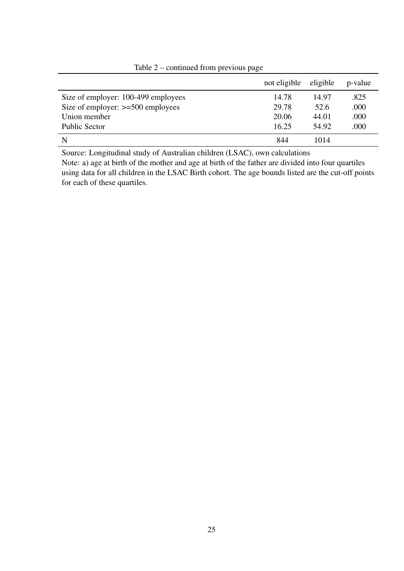|                                     | not eligible | eligible | p-value |
|-------------------------------------|--------------|----------|---------|
| Size of employer: 100-499 employees | 14.78        | 14.97    | .825    |
| Size of employer: $>=500$ employees | 29.78        | 52.6     | .000    |
| Union member                        | 20.06        | 44.01    | .000    |
| <b>Public Sector</b>                | 16.25        | 54.92    | .000    |
| N                                   | 844          | 1014     |         |

# Table 2 – continued from previous page

Source: Longitudinal study of Australian children (LSAC), own calculations

Note: a) age at birth of the mother and age at birth of the father are divided into four quartiles using data for all children in the LSAC Birth cohort. The age bounds listed are the cut-off points for each of these quartiles.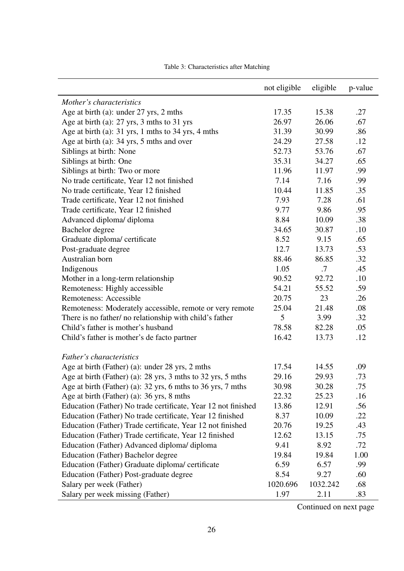|                                                               | not eligible | eligible | p-value |
|---------------------------------------------------------------|--------------|----------|---------|
| Mother's characteristics                                      |              |          |         |
| Age at birth (a): under 27 yrs, 2 mths                        | 17.35        | 15.38    | .27     |
| Age at birth (a): $27 \text{ yrs}$ , 3 mths to 31 yrs         | 26.97        | 26.06    | .67     |
| Age at birth (a): 31 yrs, 1 mths to 34 yrs, 4 mths            | 31.39        | 30.99    | .86     |
| Age at birth (a): 34 yrs, 5 mths and over                     | 24.29        | 27.58    | .12     |
| Siblings at birth: None                                       | 52.73        | 53.76    | .67     |
| Siblings at birth: One                                        | 35.31        | 34.27    | .65     |
| Siblings at birth: Two or more                                | 11.96        | 11.97    | .99     |
| No trade certificate, Year 12 not finished                    | 7.14         | 7.16     | .99     |
| No trade certificate, Year 12 finished                        | 10.44        | 11.85    | .35     |
| Trade certificate, Year 12 not finished                       | 7.93         | 7.28     | .61     |
| Trade certificate, Year 12 finished                           | 9.77         | 9.86     | .95     |
| Advanced diploma/ diploma                                     | 8.84         | 10.09    | .38     |
| Bachelor degree                                               | 34.65        | 30.87    | .10     |
| Graduate diploma/ certificate                                 | 8.52         | 9.15     | .65     |
| Post-graduate degree                                          | 12.7         | 13.73    | .53     |
| Australian born                                               | 88.46        | 86.85    | .32     |
| Indigenous                                                    | 1.05         | .7       | .45     |
| Mother in a long-term relationship                            | 90.52        | 92.72    | .10     |
| Remoteness: Highly accessible                                 | 54.21        | 55.52    | .59     |
| Remoteness: Accessible                                        | 20.75        | 23       | .26     |
| Remoteness: Moderately accessible, remote or very remote      | 25.04        | 21.48    | .08     |
| There is no father/ no relationship with child's father       | 5            | 3.99     | .32     |
| Child's father is mother's husband                            | 78.58        | 82.28    | .05     |
| Child's father is mother's de facto partner                   | 16.42        | 13.73    | .12     |
|                                                               |              |          |         |
| Father's characteristics                                      |              |          |         |
| Age at birth (Father) (a): under 28 yrs, 2 mths               | 17.54        | 14.55    | .09     |
| Age at birth (Father) (a): 28 yrs, 3 mths to 32 yrs, 5 mths   | 29.16        | 29.93    | .73     |
| Age at birth (Father) (a): 32 yrs, 6 mths to 36 yrs, 7 mths   | 30.98        | 30.28    | .75     |
| Age at birth (Father) (a): 36 yrs, 8 mths                     | 22.32        | 25.23    | .16     |
| Education (Father) No trade certificate, Year 12 not finished | 13.86        | 12.91    | .56     |
| Education (Father) No trade certificate, Year 12 finished     | 8.37         | 10.09    | .22     |
| Education (Father) Trade certificate, Year 12 not finished    | 20.76        | 19.25    | .43     |
| Education (Father) Trade certificate, Year 12 finished        | 12.62        | 13.15    | .75     |
| Education (Father) Advanced diploma/diploma                   | 9.41         | 8.92     | .72     |
| Education (Father) Bachelor degree                            | 19.84        | 19.84    | 1.00    |
| Education (Father) Graduate diploma/ certificate              | 6.59         | 6.57     | .99     |
| Education (Father) Post-graduate degree                       | 8.54         | 9.27     | .60     |
| Salary per week (Father)                                      | 1020.696     | 1032.242 | .68     |
| Salary per week missing (Father)                              | 1.97         | 2.11     | .83     |

Table 3: Characteristics after Matching

Continued on next page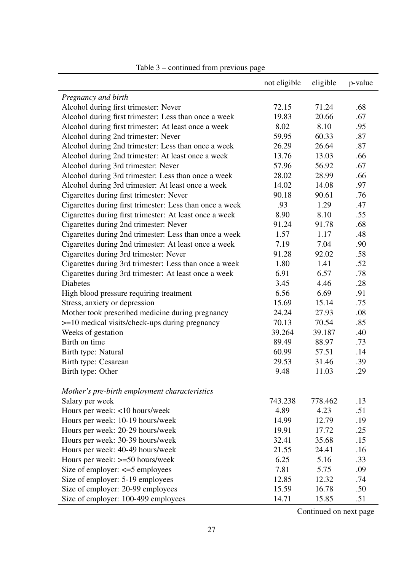|                                                          | not eligible | eligible | p-value |
|----------------------------------------------------------|--------------|----------|---------|
| Pregnancy and birth                                      |              |          |         |
| Alcohol during first trimester: Never                    | 72.15        | 71.24    | .68     |
| Alcohol during first trimester: Less than once a week    | 19.83        | 20.66    | .67     |
| Alcohol during first trimester: At least once a week     | 8.02         | 8.10     | .95     |
| Alcohol during 2nd trimester: Never                      | 59.95        | 60.33    | .87     |
| Alcohol during 2nd trimester: Less than once a week      | 26.29        | 26.64    | .87     |
| Alcohol during 2nd trimester: At least once a week       | 13.76        | 13.03    | .66     |
| Alcohol during 3rd trimester: Never                      | 57.96        | 56.92    | .67     |
| Alcohol during 3rd trimester: Less than once a week      | 28.02        | 28.99    | .66     |
| Alcohol during 3rd trimester: At least once a week       | 14.02        | 14.08    | .97     |
| Cigarettes during first trimester: Never                 | 90.18        | 90.61    | .76     |
| Cigarettes during first trimester: Less than once a week | .93          | 1.29     | .47     |
| Cigarettes during first trimester: At least once a week  | 8.90         | 8.10     | .55     |
| Cigarettes during 2nd trimester: Never                   | 91.24        | 91.78    | .68     |
| Cigarettes during 2nd trimester: Less than once a week   | 1.57         | 1.17     | .48     |
| Cigarettes during 2nd trimester: At least once a week    | 7.19         | 7.04     | .90     |
| Cigarettes during 3rd trimester: Never                   | 91.28        | 92.02    | .58     |
| Cigarettes during 3rd trimester: Less than once a week   | 1.80         | 1.41     | .52     |
| Cigarettes during 3rd trimester: At least once a week    | 6.91         | 6.57     | .78     |
| <b>Diabetes</b>                                          | 3.45         | 4.46     | .28     |
| High blood pressure requiring treatment                  | 6.56         | 6.69     | .91     |
| Stress, anxiety or depression                            | 15.69        | 15.14    | .75     |
| Mother took prescribed medicine during pregnancy         | 24.24        | 27.93    | .08     |
| $>=$ 10 medical visits/check-ups during pregnancy        | 70.13        | 70.54    | .85     |
| Weeks of gestation                                       | 39.264       | 39.187   | .40     |
| Birth on time                                            | 89.49        | 88.97    | .73     |
| Birth type: Natural                                      | 60.99        | 57.51    | .14     |
| Birth type: Cesarean                                     | 29.53        | 31.46    | .39     |
| Birth type: Other                                        | 9.48         | 11.03    | .29     |
|                                                          |              |          |         |
| Mother's pre-birth employment characteristics            |              |          |         |
| Salary per week                                          | 743.238      | 778.462  | .13     |
| Hours per week: <10 hours/week                           | 4.89         | 4.23     | .51     |
| Hours per week: 10-19 hours/week                         | 14.99        | 12.79    | .19     |
| Hours per week: 20-29 hours/week                         | 19.91        | 17.72    | .25     |
| Hours per week: 30-39 hours/week                         | 32.41        | 35.68    | .15     |
| Hours per week: 40-49 hours/week                         | 21.55        | 24.41    | .16     |
| Hours per week: >=50 hours/week                          | 6.25         | 5.16     | .33     |
| Size of employer: $\leq 5$ employees                     | 7.81         | 5.75     | .09     |
| Size of employer: 5-19 employees                         | 12.85        | 12.32    | .74     |
| Size of employer: 20-99 employees                        | 15.59        | 16.78    | .50     |
| Size of employer: 100-499 employees                      | 14.71        | 15.85    | .51     |

# Table 3 – continued from previous page

Continued on next page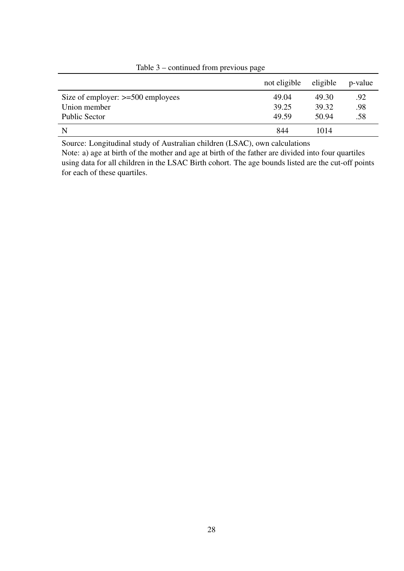|                                     | not eligible | eligible | p-value |
|-------------------------------------|--------------|----------|---------|
| Size of employer: $>=500$ employees | 49.04        | 49.30    | .92     |
| Union member                        | 39.25        | 39.32    | .98     |
| Public Sector                       | 49.59        | 50.94    | .58     |
| N                                   | 844          | 1014     |         |

Table 3 – continued from previous page

Source: Longitudinal study of Australian children (LSAC), own calculations

Note: a) age at birth of the mother and age at birth of the father are divided into four quartiles using data for all children in the LSAC Birth cohort. The age bounds listed are the cut-off points for each of these quartiles.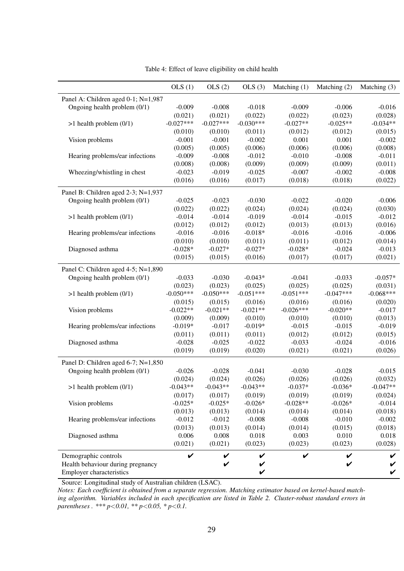|                                     | OLS(1)      | OLS(2)      | OLS(3)      | Matching $(1)$ | Matching (2) | Matching (3) |
|-------------------------------------|-------------|-------------|-------------|----------------|--------------|--------------|
| Panel A: Children aged 0-1; N=1,987 |             |             |             |                |              |              |
| Ongoing health problem (0/1)        | $-0.009$    | $-0.008$    | $-0.018$    | $-0.009$       | $-0.006$     | $-0.016$     |
|                                     | (0.021)     | (0.021)     | (0.022)     | (0.022)        | (0.023)      | (0.028)      |
| $>1$ health problem $(0/1)$         | $-0.027***$ | $-0.027***$ | $-0.030***$ | $-0.027**$     | $-0.025**$   | $-0.034**$   |
|                                     | (0.010)     | (0.010)     | (0.011)     | (0.012)        | (0.012)      | (0.015)      |
| Vision problems                     | $-0.001$    | $-0.001$    | $-0.002$    | 0.001          | 0.001        | $-0.002$     |
|                                     | (0.005)     | (0.005)     | (0.006)     | (0.006)        | (0.006)      | (0.008)      |
| Hearing problems/ear infections     | $-0.009$    | $-0.008$    | $-0.012$    | $-0.010$       | $-0.008$     | $-0.011$     |
|                                     | (0.008)     | (0.008)     | (0.009)     | (0.009)        | (0.009)      | (0.011)      |
| Wheezing/whistling in chest         | $-0.023$    | $-0.019$    | $-0.025$    | $-0.007$       | $-0.002$     | $-0.008$     |
|                                     | (0.016)     | (0.016)     | (0.017)     | (0.018)        | (0.018)      | (0.022)      |
| Panel B: Children aged 2-3; N=1,937 |             |             |             |                |              |              |
| Ongoing health problem (0/1)        | $-0.025$    | $-0.023$    | $-0.030$    | $-0.022$       | $-0.020$     | $-0.006$     |
|                                     | (0.022)     | (0.022)     | (0.024)     | (0.024)        | (0.024)      | (0.030)      |
| $>1$ health problem $(0/1)$         | $-0.014$    | $-0.014$    | $-0.019$    | $-0.014$       | $-0.015$     | $-0.012$     |
|                                     | (0.012)     | (0.012)     | (0.012)     | (0.013)        | (0.013)      | (0.016)      |
| Hearing problems/ear infections     | $-0.016$    | $-0.016$    | $-0.018*$   | $-0.016$       | $-0.016$     | $-0.006$     |
|                                     | (0.010)     | (0.010)     | (0.011)     | (0.011)        | (0.012)      | (0.014)      |
| Diagnosed asthma                    | $-0.028*$   | $-0.027*$   | $-0.027*$   | $-0.028*$      | $-0.024$     | $-0.013$     |
|                                     | (0.015)     | (0.015)     | (0.016)     | (0.017)        | (0.017)      | (0.021)      |
| Panel C: Children aged 4-5; N=1,890 |             |             |             |                |              |              |
| Ongoing health problem (0/1)        | $-0.033$    | $-0.030$    | $-0.043*$   | $-0.041$       | $-0.033$     | $-0.057*$    |
|                                     | (0.023)     | (0.023)     | (0.025)     | (0.025)        | (0.025)      | (0.031)      |
| $>1$ health problem $(0/1)$         | $-0.050***$ | $-0.050***$ | $-0.051***$ | $-0.051***$    | $-0.047***$  | $-0.068***$  |
|                                     | (0.015)     | (0.015)     | (0.016)     | (0.016)        | (0.016)      | (0.020)      |
| Vision problems                     | $-0.022**$  | $-0.021**$  | $-0.021**$  | $-0.026***$    | $-0.020**$   | $-0.017$     |
|                                     | (0.009)     | (0.009)     | (0.010)     | (0.010)        | (0.010)      | (0.013)      |
| Hearing problems/ear infections     | $-0.019*$   | $-0.017$    | $-0.019*$   | $-0.015$       | $-0.015$     | $-0.019$     |
|                                     | (0.011)     | (0.011)     | (0.011)     | (0.012)        | (0.012)      | (0.015)      |
| Diagnosed asthma                    | $-0.028$    | $-0.025$    | $-0.022$    | $-0.033$       | $-0.024$     | $-0.016$     |
|                                     | (0.019)     | (0.019)     | (0.020)     | (0.021)        | (0.021)      | (0.026)      |
| Panel D: Children aged 6-7; N=1,850 |             |             |             |                |              |              |
| Ongoing health problem (0/1)        | $-0.026$    | $-0.028$    | $-0.041$    | $-0.030$       | $-0.028$     | $-0.015$     |
|                                     | (0.024)     | (0.024)     | (0.026)     | (0.026)        | (0.026)      | (0.032)      |
| $>1$ health problem $(0/1)$         | $-0.043**$  | $-0.043**$  | $-0.043**$  | $-0.037*$      | $-0.036*$    | $-0.047**$   |
|                                     | (0.017)     | (0.017)     | (0.019)     | (0.019)        | (0.019)      | (0.024)      |
| Vision problems                     | $-0.025*$   | $-0.025*$   | $-0.026*$   | $-0.028**$     | $-0.026*$    | $-0.014$     |
|                                     | (0.013)     | (0.013)     | (0.014)     | (0.014)        | (0.014)      | (0.018)      |
| Hearing problems/ear infections     | $-0.012$    | $-0.012$    | $-0.008$    | $-0.008$       | $-0.010$     | $-0.002$     |
|                                     | (0.013)     | (0.013)     | (0.014)     | (0.014)        | (0.015)      | (0.018)      |
| Diagnosed asthma                    | 0.006       | 0.008       | 0.018       | 0.003          | 0.010        | 0.018        |
|                                     | (0.021)     | (0.021)     | (0.023)     | (0.023)        | (0.023)      | (0.028)      |
| Demographic controls                | V           | V           | V           | $\checkmark$   | V            |              |
| Health behaviour during pregnancy   |             | V           | V           |                | V            |              |
| <b>Employer characteristics</b>     |             |             | V           |                |              | V            |

Table 4: Effect of leave eligibility on child health

Source: Longitudinal study of Australian children (LSAC).

*Notes: Each coefficient is obtained from a separate regression. Matching estimator based on kernel-based matching algorithm. Variables included in each specification are listed in Table 2. Cluster-robust standard errors in parentheses . \*\*\* p<0.01, \*\* p<0.05, \* p<0.1.*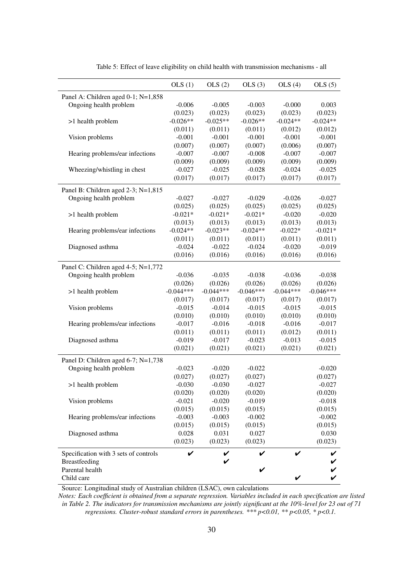|                                       | OLS(1)      | OLS(2)      | OLS(3)      | OLS(4)      | OLS(5)      |
|---------------------------------------|-------------|-------------|-------------|-------------|-------------|
| Panel A: Children aged 0-1; N=1,858   |             |             |             |             |             |
| Ongoing health problem                | $-0.006$    | $-0.005$    | $-0.003$    | $-0.000$    | 0.003       |
|                                       | (0.023)     | (0.023)     | (0.023)     | (0.023)     | (0.023)     |
| >1 health problem                     | $-0.026**$  | $-0.025**$  | $-0.026**$  | $-0.024**$  | $-0.024**$  |
|                                       | (0.011)     | (0.011)     | (0.011)     | (0.012)     | (0.012)     |
| Vision problems                       | $-0.001$    | $-0.001$    | $-0.001$    | $-0.001$    | $-0.001$    |
|                                       | (0.007)     | (0.007)     | (0.007)     | (0.006)     | (0.007)     |
| Hearing problems/ear infections       | $-0.007$    | $-0.007$    | $-0.008$    | $-0.007$    | $-0.007$    |
|                                       | (0.009)     | (0.009)     | (0.009)     | (0.009)     | (0.009)     |
| Wheezing/whistling in chest           | $-0.027$    | $-0.025$    | $-0.028$    | $-0.024$    | $-0.025$    |
|                                       | (0.017)     | (0.017)     | (0.017)     | (0.017)     | (0.017)     |
| Panel B: Children aged 2-3; N=1,815   |             |             |             |             |             |
| Ongoing health problem                | $-0.027$    | $-0.027$    | $-0.029$    | $-0.026$    | $-0.027$    |
|                                       | (0.025)     | (0.025)     | (0.025)     | (0.025)     | (0.025)     |
| >1 health problem                     | $-0.021*$   | $-0.021*$   | $-0.021*$   | $-0.020$    | $-0.020$    |
|                                       | (0.013)     | (0.013)     | (0.013)     | (0.013)     | (0.013)     |
| Hearing problems/ear infections       | $-0.024**$  | $-0.023**$  | $-0.024**$  | $-0.022*$   | $-0.021*$   |
|                                       | (0.011)     | (0.011)     | (0.011)     | (0.011)     | (0.011)     |
| Diagnosed asthma                      | $-0.024$    | $-0.022$    | $-0.024$    | $-0.020$    | $-0.019$    |
|                                       | (0.016)     | (0.016)     | (0.016)     | (0.016)     | (0.016)     |
| Panel C: Children aged 4-5; N=1,772   |             |             |             |             |             |
| Ongoing health problem                | $-0.036$    | $-0.035$    | $-0.038$    | $-0.036$    | $-0.038$    |
|                                       | (0.026)     | (0.026)     | (0.026)     | (0.026)     | (0.026)     |
| >1 health problem                     | $-0.044***$ | $-0.044***$ | $-0.046***$ | $-0.044***$ | $-0.046***$ |
|                                       | (0.017)     | (0.017)     | (0.017)     | (0.017)     | (0.017)     |
| Vision problems                       | $-0.015$    | $-0.014$    | $-0.015$    | $-0.015$    | $-0.015$    |
|                                       | (0.010)     | (0.010)     | (0.010)     | (0.010)     | (0.010)     |
| Hearing problems/ear infections       | $-0.017$    | $-0.016$    | $-0.018$    | $-0.016$    | $-0.017$    |
|                                       | (0.011)     | (0.011)     | (0.011)     | (0.012)     | (0.011)     |
| Diagnosed asthma                      | $-0.019$    | $-0.017$    | $-0.023$    | $-0.013$    | $-0.015$    |
|                                       | (0.021)     | (0.021)     | (0.021)     | (0.021)     | (0.021)     |
| Panel D: Children aged 6-7; N=1,738   |             |             |             |             |             |
| Ongoing health problem                | $-0.023$    | $-0.020$    | $-0.022$    |             | $-0.020$    |
|                                       | (0.027)     | (0.027)     | (0.027)     |             | (0.027)     |
| >1 health problem                     | $-0.030$    | $-0.030$    | $-0.027$    |             | $-0.027$    |
|                                       | (0.020)     | (0.020)     | (0.020)     |             | (0.020)     |
| Vision problems                       | $-0.021$    | $-0.020$    | $-0.019$    |             | $-0.018$    |
|                                       | (0.015)     | (0.015)     | (0.015)     |             | (0.015)     |
| Hearing problems/ear infections       | $-0.003$    | $-0.003$    | $-0.002$    |             | $-0.002$    |
|                                       | (0.015)     | (0.015)     | (0.015)     |             | (0.015)     |
| Diagnosed asthma                      | 0.028       | 0.031       | 0.027       |             | 0.030       |
|                                       | (0.023)     | (0.023)     | (0.023)     |             | (0.023)     |
| Specification with 3 sets of controls | V           | V           |             | V           | V           |
| Breastfeeding                         |             | V           |             |             | V           |
| Parental health                       |             |             |             |             | V           |
| Child care                            |             |             |             | V           | V           |

Table 5: Effect of leave eligibility on child health with transmission mechanisms - all

Source: Longitudinal study of Australian children (LSAC), own calculations

*Notes: Each coefficient is obtained from a separate regression. Variables included in each specification are listed in Table 2. The indicators for transmission mechanisms are jointly significant at the 10%-level for 23 out of 71 regressions. Cluster-robust standard errors in parentheses. \*\*\* p<0.01, \*\* p<0.05, \* p<0.1.*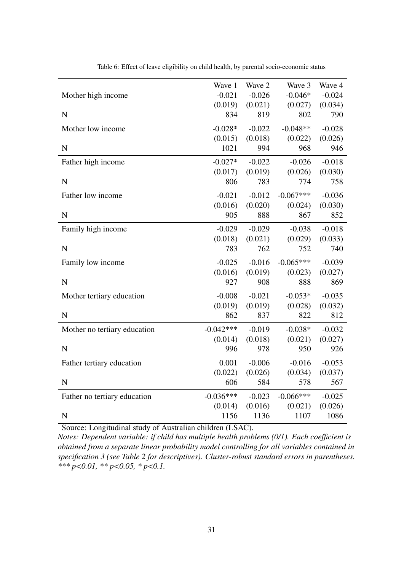|                              | Wave 1      | Wave 2   | Wave 3      | Wave 4   |
|------------------------------|-------------|----------|-------------|----------|
| Mother high income           | $-0.021$    | $-0.026$ | $-0.046*$   | $-0.024$ |
|                              | (0.019)     | (0.021)  | (0.027)     | (0.034)  |
| $\mathbf N$                  | 834         | 819      | 802         | 790      |
| Mother low income            | $-0.028*$   | $-0.022$ | $-0.048**$  | $-0.028$ |
|                              | (0.015)     | (0.018)  | (0.022)     | (0.026)  |
| ${\bf N}$                    | 1021        | 994      | 968         | 946      |
| Father high income           | $-0.027*$   | $-0.022$ | $-0.026$    | $-0.018$ |
|                              | (0.017)     | (0.019)  | (0.026)     | (0.030)  |
| $\mathbf N$                  | 806         | 783      | 774         | 758      |
| Father low income            | $-0.021$    | $-0.012$ | $-0.067***$ | $-0.036$ |
|                              | (0.016)     | (0.020)  | (0.024)     | (0.030)  |
| ${\bf N}$                    | 905         | 888      | 867         | 852      |
| Family high income           | $-0.029$    | $-0.029$ | $-0.038$    | $-0.018$ |
|                              | (0.018)     | (0.021)  | (0.029)     | (0.033)  |
| ${\bf N}$                    | 783         | 762      | 752         | 740      |
| Family low income            | $-0.025$    | $-0.016$ | $-0.065***$ | $-0.039$ |
|                              | (0.016)     | (0.019)  | (0.023)     | (0.027)  |
| ${\bf N}$                    | 927         | 908      | 888         | 869      |
| Mother tertiary education    | $-0.008$    | $-0.021$ | $-0.053*$   | $-0.035$ |
|                              | (0.019)     | (0.019)  | (0.028)     | (0.032)  |
| $\mathbf N$                  | 862         | 837      | 822         | 812      |
| Mother no tertiary education | $-0.042***$ | $-0.019$ | $-0.038*$   | $-0.032$ |
|                              | (0.014)     | (0.018)  | (0.021)     | (0.027)  |
| $\mathbf N$                  | 996         | 978      | 950         | 926      |
| Father tertiary education    | 0.001       | $-0.006$ | $-0.016$    | $-0.053$ |
|                              | (0.022)     | (0.026)  | (0.034)     | (0.037)  |
| $\mathbf N$                  | 606         | 584      | 578         | 567      |
| Father no tertiary education | $-0.036***$ | $-0.023$ | $-0.066***$ | $-0.025$ |
|                              | (0.014)     | (0.016)  | (0.021)     | (0.026)  |
| N                            | 1156        | 1136     | 1107        | 1086     |

Table 6: Effect of leave eligibility on child health, by parental socio-economic status

Source: Longitudinal study of Australian children (LSAC).

*Notes: Dependent variable: if child has multiple health problems (0/1). Each coefficient is obtained from a separate linear probability model controlling for all variables contained in specification 3 (see Table 2 for descriptives). Cluster-robust standard errors in parentheses. \*\*\* p<0.01, \*\* p<0.05, \* p<0.1.*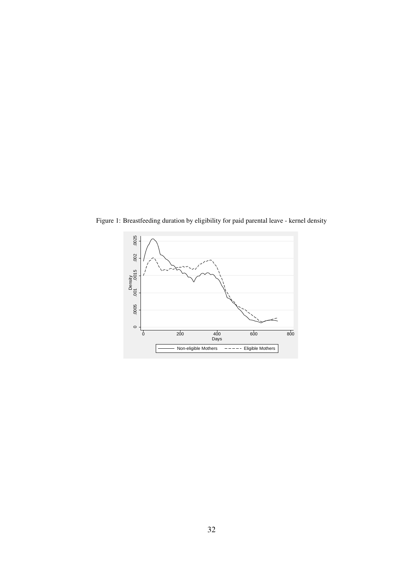

Figure 1: Breastfeeding duration by eligibility for paid parental leave - kernel density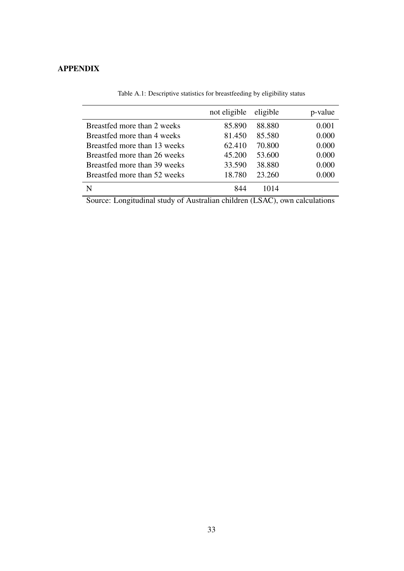### APPENDIX

|                              | not eligible | eligible | p-value |
|------------------------------|--------------|----------|---------|
| Breastfed more than 2 weeks  | 85.890       | 88.880   | 0.001   |
| Breastfed more than 4 weeks  | 81.450       | 85.580   | 0.000   |
| Breastfed more than 13 weeks | 62.410       | 70.800   | 0.000   |
| Breastfed more than 26 weeks | 45.200       | 53.600   | 0.000   |
| Breastfed more than 39 weeks | 33.590       | 38.880   | 0.000   |
| Breastfed more than 52 weeks | 18.780       | 23.260   | 0.000   |
|                              | 844          | 1014     |         |

Table A.1: Descriptive statistics for breastfeeding by eligibility status

Source: Longitudinal study of Australian children (LSAC), own calculations